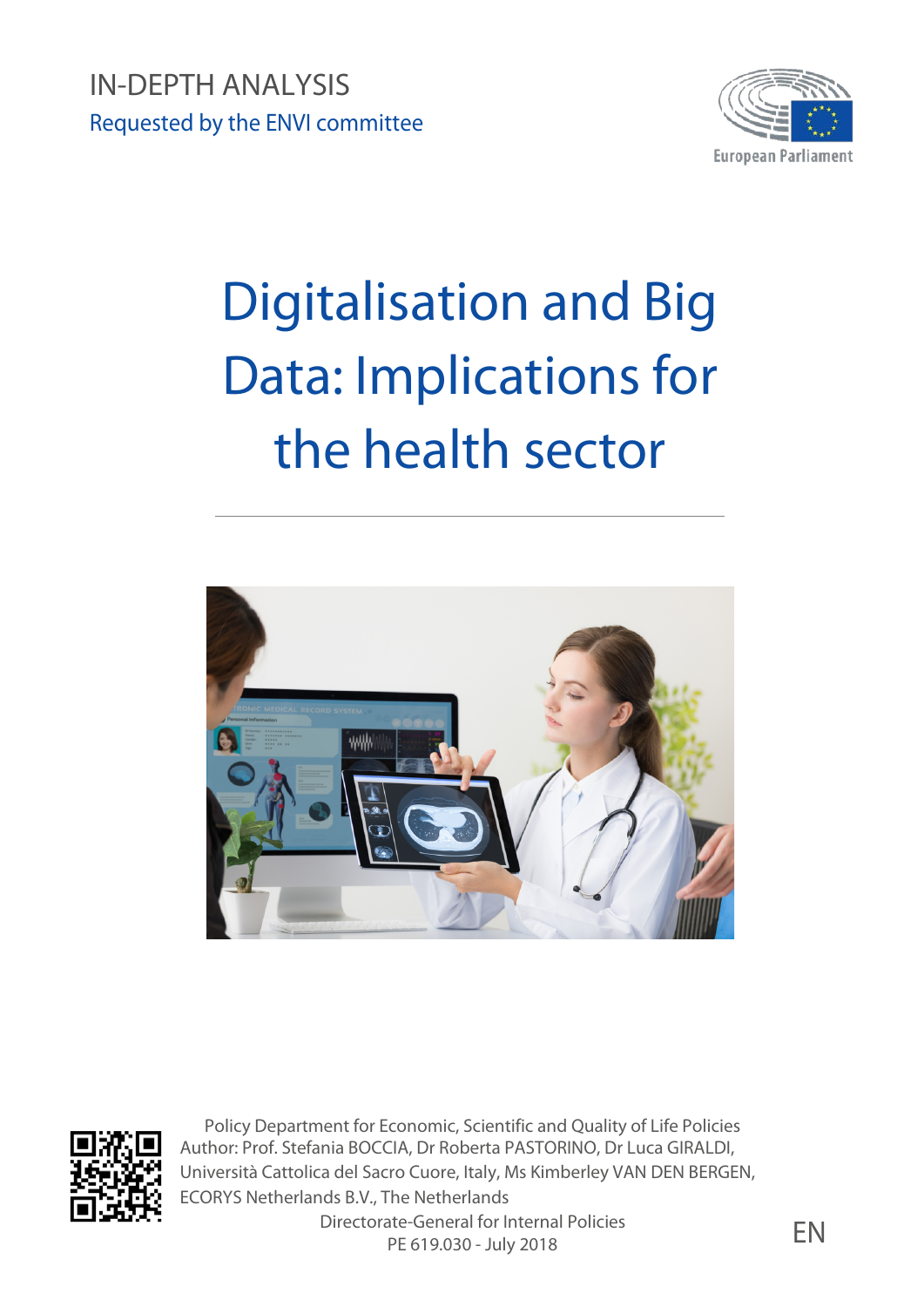IN-DEPTH ANALYSIS Requested by the ENVI committee



# Digitalisation and Big Data: Implications for the health sector





Policy Department for Economic, Scientific and Quality of Life Policies Author: Prof. Stefania BOCCIA, Dr Roberta PASTORINO, Dr Luca GIRALDI, Università Cattolica del Sacro Cuore, Italy, Ms Kimberley VAN DEN BERGEN, ECORYS Netherlands B.V., The Netherlands

Directorate-General for Internal Policies ate-General for internal Policies<br>PE 619.030 - July 2018 EN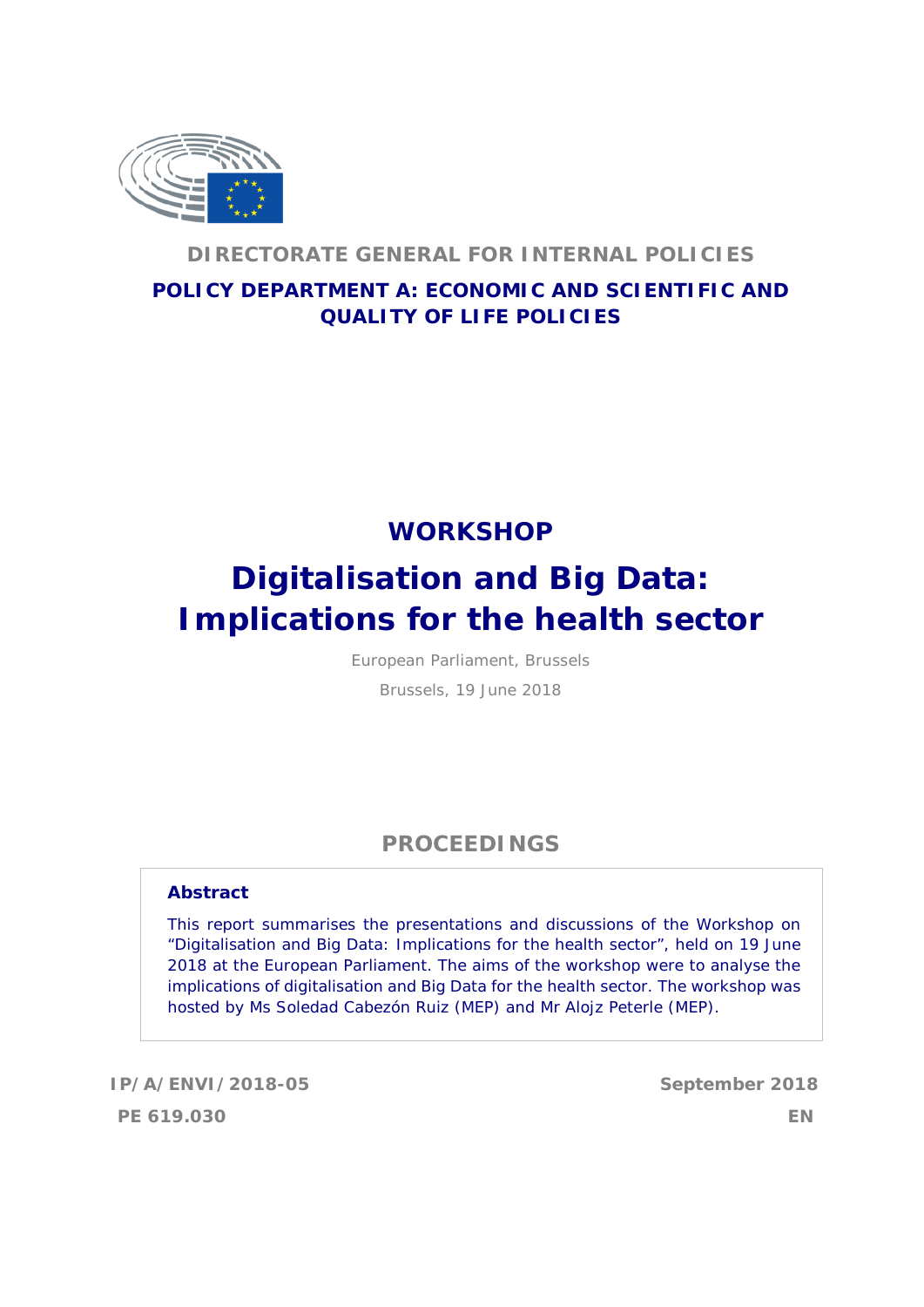

## **DIRECTORATE GENERAL FOR INTERNAL POLICIES**

## **POLICY DEPARTMENT A: ECONOMIC AND SCIENTIFIC AND QUALITY OF LIFE POLICIES**

## **WORKSHOP**

## **Digitalisation and Big Data: Implications for the health sector**

European Parliament, Brussels

Brussels, 19 June 2018

## **PROCEEDINGS**

#### **Abstract**

This report summarises the presentations and discussions of the Workshop on "Digitalisation and Big Data: Implications for the health sector", held on 19 June 2018 at the European Parliament. The aims of the workshop were to analyse the implications of digitalisation and Big Data for the health sector. The workshop was hosted by Ms Soledad Cabezón Ruiz (MEP) and Mr Alojz Peterle (MEP).

**IP/A/ENVI/2018-05 September 2018 PE 619.030 EN**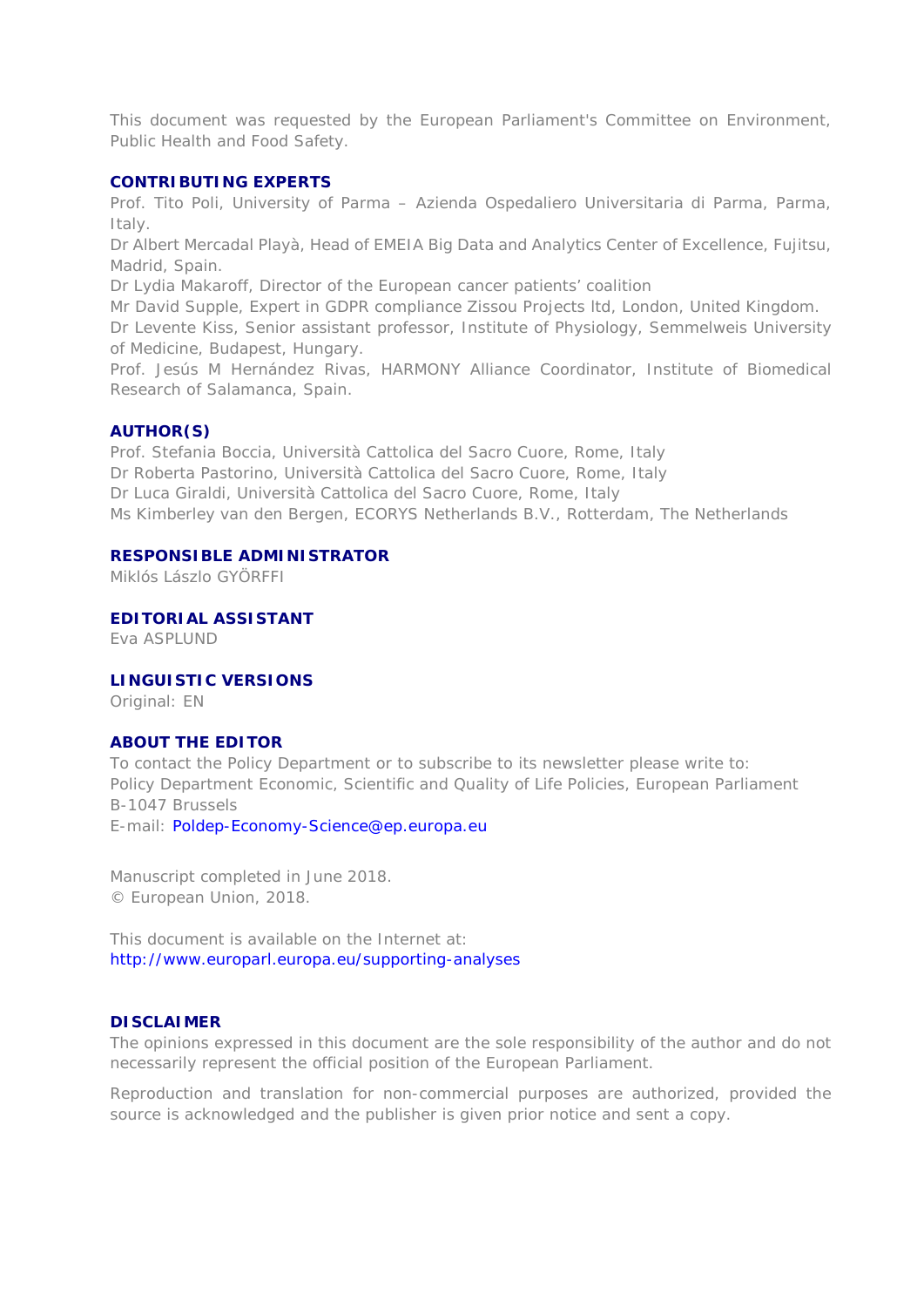This document was requested by the European Parliament's Committee on Environment, Public Health and Food Safety.

#### **CONTRIBUTING EXPERTS**

Prof. Tito Poli, University of Parma – Azienda Ospedaliero Universitaria di Parma, Parma, Italy.

Dr Albert Mercadal Playà, Head of EMEIA Big Data and Analytics Center of Excellence, Fujitsu, Madrid, Spain.

Dr Lydia Makaroff, Director of the European cancer patients' coalition

Mr David Supple, Expert in GDPR compliance Zissou Projects ltd, London, United Kingdom.

Dr Levente Kiss, Senior assistant professor, Institute of Physiology, Semmelweis University of Medicine, Budapest, Hungary.

Prof. Jesús M Hernández Rivas, HARMONY Alliance Coordinator, Institute of Biomedical Research of Salamanca, Spain.

#### **AUTHOR(S)**

Prof. Stefania Boccia, Università Cattolica del Sacro Cuore, Rome, Italy Dr Roberta Pastorino, Università Cattolica del Sacro Cuore, Rome, Italy Dr Luca Giraldi, Università Cattolica del Sacro Cuore, Rome, Italy Ms Kimberley van den Bergen, ECORYS Netherlands B.V., Rotterdam, The Netherlands

#### **RESPONSIBLE ADMINISTRATOR**

Miklós Lászlo GYÖRFFI

**EDITORIAL ASSISTANT**

Eva ASPLUND

#### **LINGUISTIC VERSIONS**

Original: EN

#### **ABOUT THE EDITOR**

To contact the Policy Department or to subscribe to its newsletter please write to: Policy Department Economic, Scientific and Quality of Life Policies, European Parliament B-1047 Brussels

E-mail: Poldep-Economy-Science@ep.europa.eu

Manuscript completed in June 2018. © European Union, 2018.

This document is available on the Internet at: http://www.europarl.europa.eu/supporting-analyses

#### **DISCLAIMER**

The opinions expressed in this document are the sole responsibility of the author and do not necessarily represent the official position of the European Parliament.

Reproduction and translation for non-commercial purposes are authorized, provided the source is acknowledged and the publisher is given prior notice and sent a copy.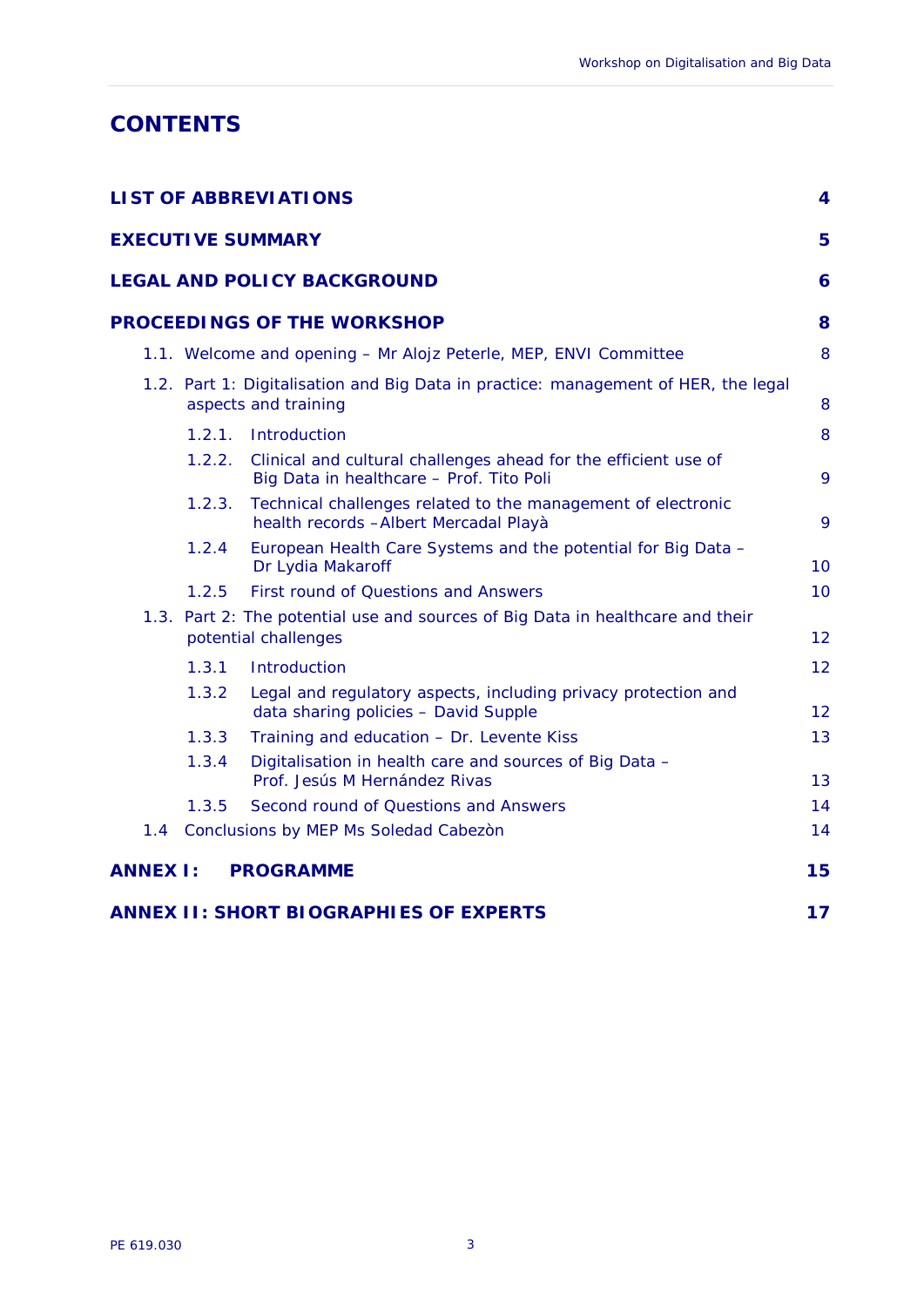## **CONTENTS**

| <b>LIST OF ABBREVIATIONS</b><br>4 |                                                                                                            |                                                                                                             |    |  |
|-----------------------------------|------------------------------------------------------------------------------------------------------------|-------------------------------------------------------------------------------------------------------------|----|--|
|                                   |                                                                                                            | <b>EXECUTIVE SUMMARY</b>                                                                                    | 5  |  |
|                                   |                                                                                                            | <b>LEGAL AND POLICY BACKGROUND</b>                                                                          | 6  |  |
|                                   |                                                                                                            | <b>PROCEEDINGS OF THE WORKSHOP</b>                                                                          | 8  |  |
|                                   |                                                                                                            | 1.1. Welcome and opening - Mr Alojz Peterle, MEP, ENVI Committee                                            | 8  |  |
|                                   | 1.2. Part 1: Digitalisation and Big Data in practice: management of HER, the legal<br>aspects and training |                                                                                                             |    |  |
|                                   | 1.2.1.                                                                                                     | Introduction                                                                                                | 8  |  |
|                                   | 1.2.2.                                                                                                     | Clinical and cultural challenges ahead for the efficient use of<br>Big Data in healthcare - Prof. Tito Poli | 9  |  |
|                                   | 1.2.3.                                                                                                     | Technical challenges related to the management of electronic<br>health records - Albert Mercadal Playà      | 9  |  |
|                                   | 1.2.4                                                                                                      | European Health Care Systems and the potential for Big Data -<br>Dr Lydia Makaroff                          | 10 |  |
|                                   | 1.2.5                                                                                                      | First round of Questions and Answers                                                                        | 10 |  |
|                                   | 1.3. Part 2: The potential use and sources of Big Data in healthcare and their<br>potential challenges     |                                                                                                             | 12 |  |
|                                   | 1.3.1                                                                                                      | Introduction                                                                                                | 12 |  |
|                                   | 1.3.2                                                                                                      | Legal and regulatory aspects, including privacy protection and<br>data sharing policies - David Supple      | 12 |  |
|                                   | 1.3.3                                                                                                      | Training and education - Dr. Levente Kiss                                                                   | 13 |  |
|                                   | 1.3.4                                                                                                      | Digitalisation in health care and sources of Big Data -<br>Prof. Jesús M Hernández Rivas                    | 13 |  |
|                                   | 1.3.5                                                                                                      | Second round of Questions and Answers                                                                       | 14 |  |
|                                   |                                                                                                            | 1.4 Conclusions by MEP Ms Soledad Cabezon                                                                   | 14 |  |
| <b>ANNEX I:</b>                   |                                                                                                            | <b>PROGRAMME</b>                                                                                            | 15 |  |
|                                   |                                                                                                            | <b>ANNEX II: SHORT BIOGRAPHIES OF EXPERTS</b>                                                               | 17 |  |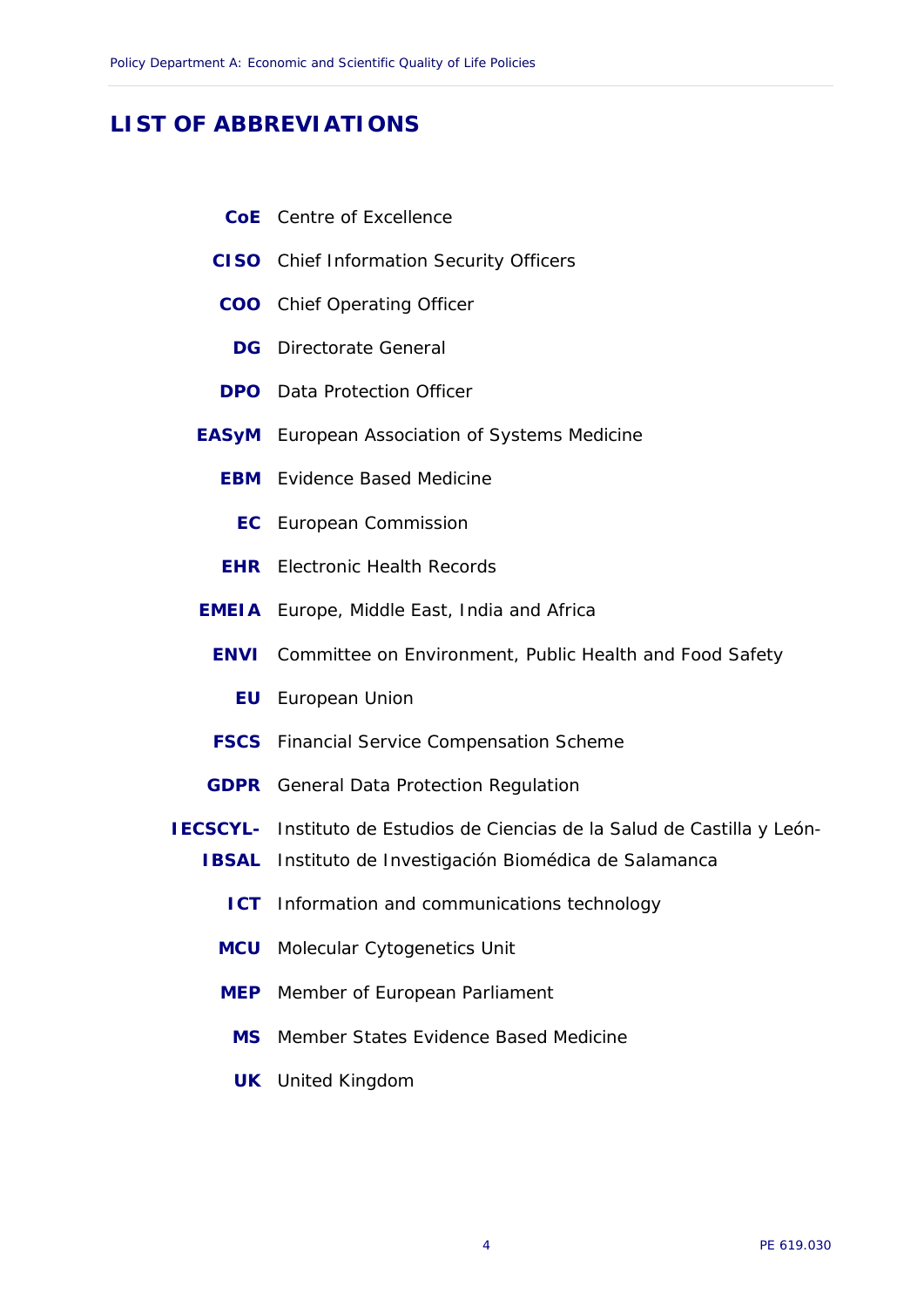## <span id="page-5-0"></span>**LIST OF ABBREVIATIONS**

- **CoE** Centre of Excellence
- **CISO** Chief Information Security Officers
- **COO** Chief Operating Officer
	- **DG** Directorate General
- **DPO** Data Protection Officer
- **EASyM** European Association of Systems Medicine
	- **EBM** Evidence Based Medicine
		- **EC** European Commission
	- **EHR** Electronic Health Records
- **EMEIA** Europe, Middle East, India and Africa
	- **ENVI** Committee on Environment, Public Health and Food Safety
		- **EU** European Union
	- **FSCS** Financial Service Compensation Scheme
- **GDPR** General Data Protection Regulation
- **IECSCYL-** Instituto de Estudios de Ciencias de la Salud de Castilla y León-
	- **IBSAL** Instituto de Investigación Biomédica de Salamanca
		- **ICT** Information and communications technology
		- **MCU** Molecular Cytogenetics Unit
		- **MEP** Member of European Parliament
		- **MS** Member States Evidence Based Medicine
		- **UK** United Kingdom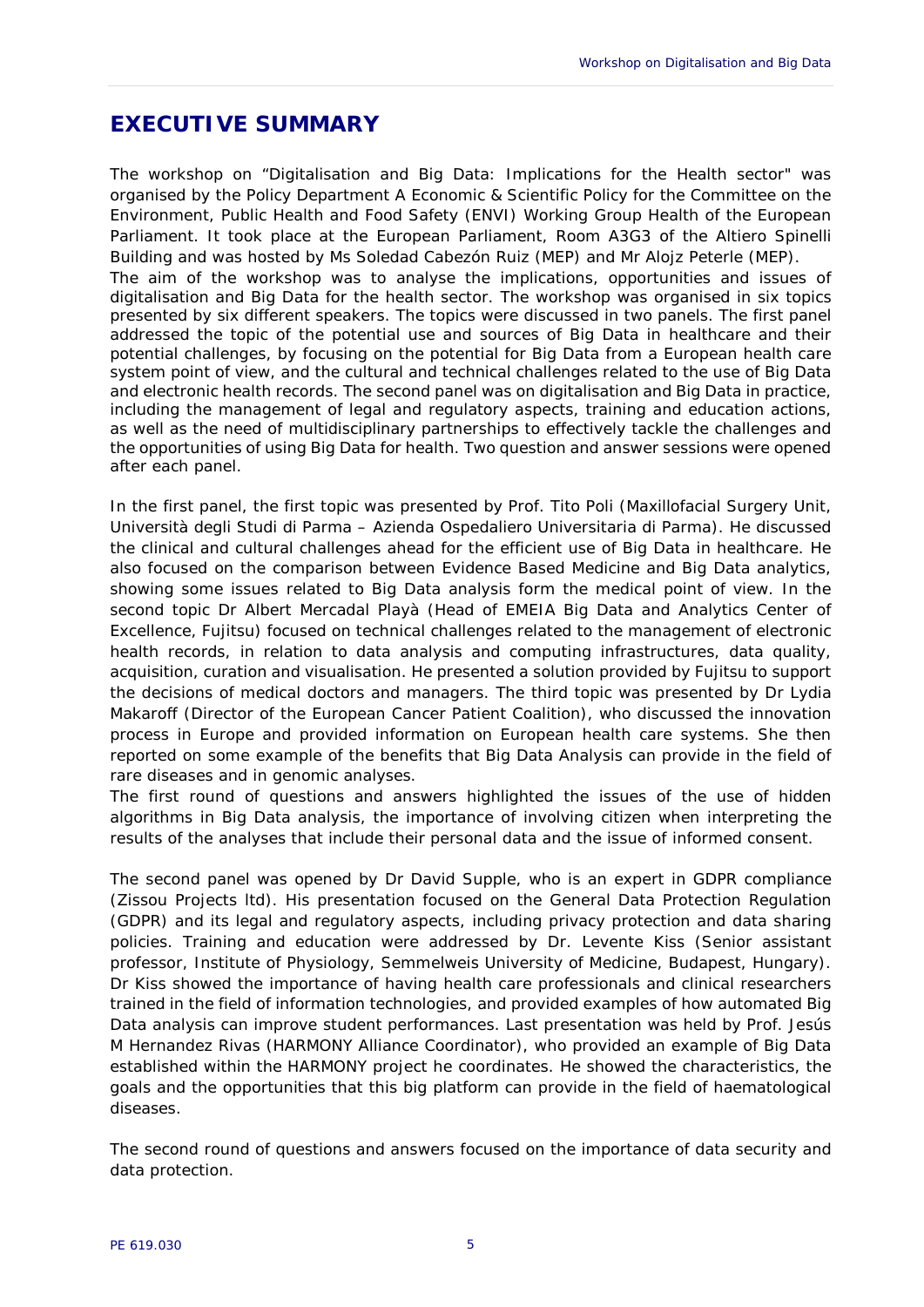## <span id="page-6-0"></span>**EXECUTIVE SUMMARY**

The workshop on "Digitalisation and Big Data: Implications for the Health sector" was organised by the Policy Department A Economic & Scientific Policy for the Committee on the Environment, Public Health and Food Safety (ENVI) Working Group Health of the European Parliament. It took place at the European Parliament, Room A3G3 of the Altiero Spinelli Building and was hosted by Ms Soledad Cabezón Ruiz (MEP) and Mr Alojz Peterle (MEP). The aim of the workshop was to analyse the implications, opportunities and issues of digitalisation and Big Data for the health sector. The workshop was organised in six topics presented by six different speakers. The topics were discussed in two panels. The first panel addressed the topic of the potential use and sources of Big Data in healthcare and their potential challenges, by focusing on the potential for Big Data from a European health care system point of view, and the cultural and technical challenges related to the use of Big Data and electronic health records. The second panel was on digitalisation and Big Data in practice, including the management of legal and regulatory aspects, training and education actions, as well as the need of multidisciplinary partnerships to effectively tackle the challenges and the opportunities of using Big Data for health. Two question and answer sessions were opened after each panel.

In the first panel, the first topic was presented by Prof. Tito Poli (Maxillofacial Surgery Unit, Università degli Studi di Parma – Azienda Ospedaliero Universitaria di Parma). He discussed the clinical and cultural challenges ahead for the efficient use of Big Data in healthcare. He also focused on the comparison between Evidence Based Medicine and Big Data analytics, showing some issues related to Big Data analysis form the medical point of view. In the second topic Dr Albert Mercadal Playà (Head of EMEIA Big Data and Analytics Center of Excellence, Fujitsu) focused on technical challenges related to the management of electronic health records, in relation to data analysis and computing infrastructures, data quality, acquisition, curation and visualisation. He presented a solution provided by Fujitsu to support the decisions of medical doctors and managers. The third topic was presented by Dr Lydia Makaroff (Director of the European Cancer Patient Coalition), who discussed the innovation process in Europe and provided information on European health care systems. She then reported on some example of the benefits that Big Data Analysis can provide in the field of rare diseases and in genomic analyses.

The first round of questions and answers highlighted the issues of the use of hidden algorithms in Big Data analysis, the importance of involving citizen when interpreting the results of the analyses that include their personal data and the issue of informed consent.

The second panel was opened by Dr David Supple, who is an expert in GDPR compliance (Zissou Projects ltd). His presentation focused on the General Data Protection Regulation (GDPR) and its legal and regulatory aspects, including privacy protection and data sharing policies. Training and education were addressed by Dr. Levente Kiss (Senior assistant professor, Institute of Physiology, Semmelweis University of Medicine, Budapest, Hungary). Dr Kiss showed the importance of having health care professionals and clinical researchers trained in the field of information technologies, and provided examples of how automated Big Data analysis can improve student performances. Last presentation was held by Prof. Jesús M Hernandez Rivas (HARMONY Alliance Coordinator), who provided an example of Big Data established within the HARMONY project he coordinates. He showed the characteristics, the goals and the opportunities that this big platform can provide in the field of haematological diseases.

The second round of questions and answers focused on the importance of data security and data protection.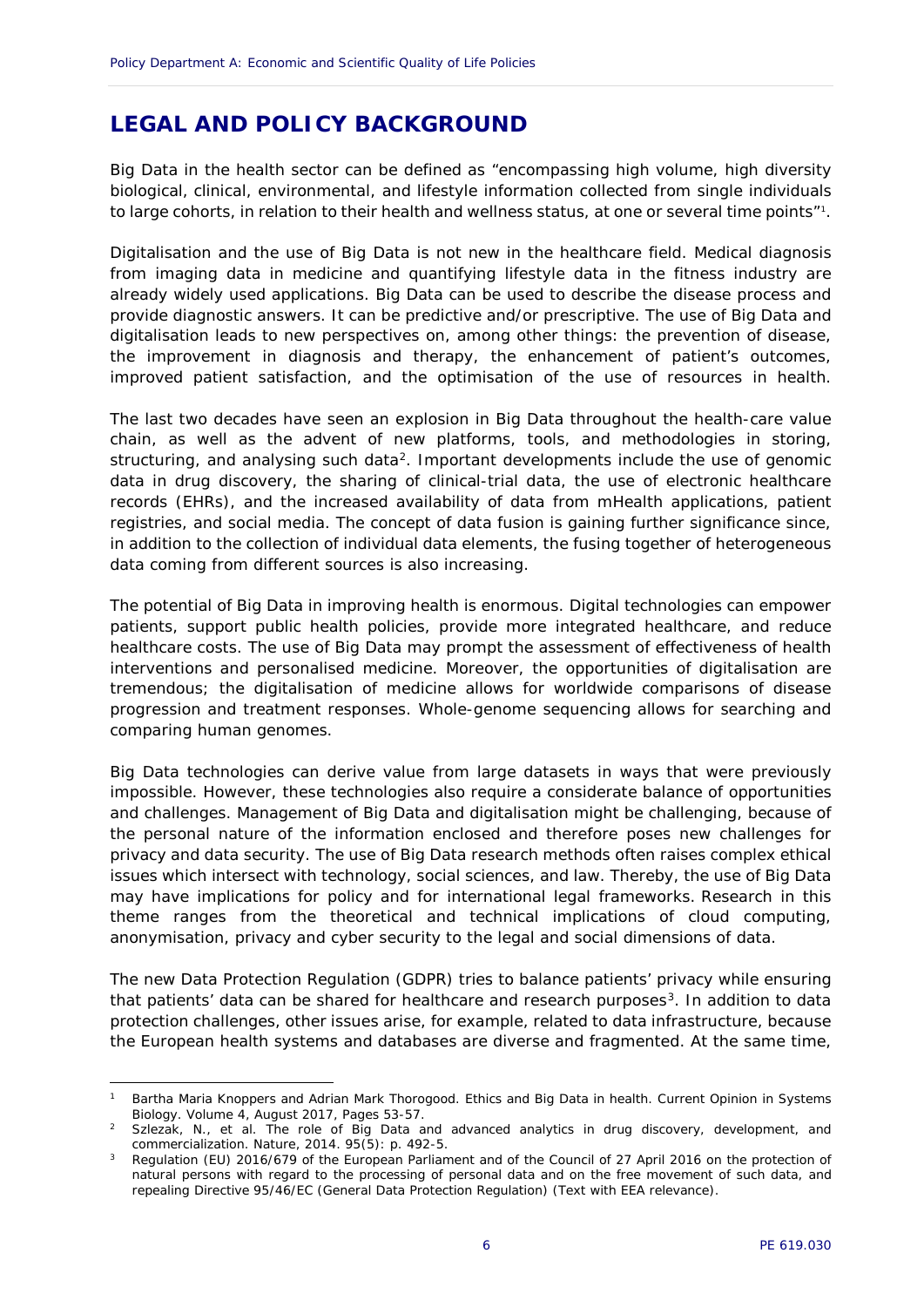## <span id="page-7-0"></span>**LEGAL AND POLICY BACKGROUND**

Big Data in the health sector can be defined as "encompassing high volume, high diversity biological, clinical, environmental, and lifestyle information collected from single individuals to large cohorts, in relation to their health and wellness status, at one or several time points"[1](#page-7-1).

Digitalisation and the use of Big Data is not new in the healthcare field. Medical diagnosis from imaging data in medicine and quantifying lifestyle data in the fitness industry are already widely used applications. Big Data can be used to describe the disease process and provide diagnostic answers. It can be predictive and/or prescriptive. The use of Big Data and digitalisation leads to new perspectives on, among other things: the prevention of disease, the improvement in diagnosis and therapy, the enhancement of patient's outcomes, improved patient satisfaction, and the optimisation of the use of resources in health.

The last two decades have seen an explosion in Big Data throughout the health-care value chain, as well as the advent of new platforms, tools, and methodologies in storing, structuring, and analysing such data<sup>2</sup>. Important developments include the use of genomic data in drug discovery, the sharing of clinical-trial data, the use of electronic healthcare records (EHRs), and the increased availability of data from mHealth applications, patient registries, and social media. The concept of data fusion is gaining further significance since, in addition to the collection of individual data elements, the fusing together of heterogeneous data coming from different sources is also increasing.

The potential of Big Data in improving health is enormous. Digital technologies can empower patients, support public health policies, provide more integrated healthcare, and reduce healthcare costs. The use of Big Data may prompt the assessment of effectiveness of health interventions and personalised medicine. Moreover, the opportunities of digitalisation are tremendous; the digitalisation of medicine allows for worldwide comparisons of disease progression and treatment responses. Whole-genome sequencing allows for searching and comparing human genomes.

Big Data technologies can derive value from large datasets in ways that were previously impossible. However, these technologies also require a considerate balance of opportunities and challenges. Management of Big Data and digitalisation might be challenging, because of the personal nature of the information enclosed and therefore poses new challenges for privacy and data security. The use of Big Data research methods often raises complex ethical issues which intersect with technology, social sciences, and law. Thereby, the use of Big Data may have implications for policy and for international legal frameworks. Research in this theme ranges from the theoretical and technical implications of cloud computing, anonymisation, privacy and cyber security to the legal and social dimensions of data.

The new Data Protection Regulation (GDPR) tries to balance patients' privacy while ensuring that patients' data can be shared for healthcare and research purposes<sup>3</sup>. In addition to data protection challenges, other issues arise, for example, related to data infrastructure, because the European health systems and databases are diverse and fragmented. At the same time,

-

<span id="page-7-1"></span><sup>1</sup> Bartha Maria Knoppers and Adrian Mark Thorogood. Ethics and Big Data in health. Current Opinion in Systems Biology. Volume 4, August 2017, Pages 53-57.

<span id="page-7-2"></span>Szlezak, N., et al. The role of Big Data and advanced analytics in drug discovery, development, and commercialization. Nature, 2014. 95(5): p. 492-5.

<span id="page-7-3"></span><sup>3</sup> Regulation (EU) 2016/679 of the European Parliament and of the Council of 27 April 2016 on the protection of natural persons with regard to the processing of personal data and on the free movement of such data, and repealing Directive 95/46/EC (General Data Protection Regulation) (Text with EEA relevance).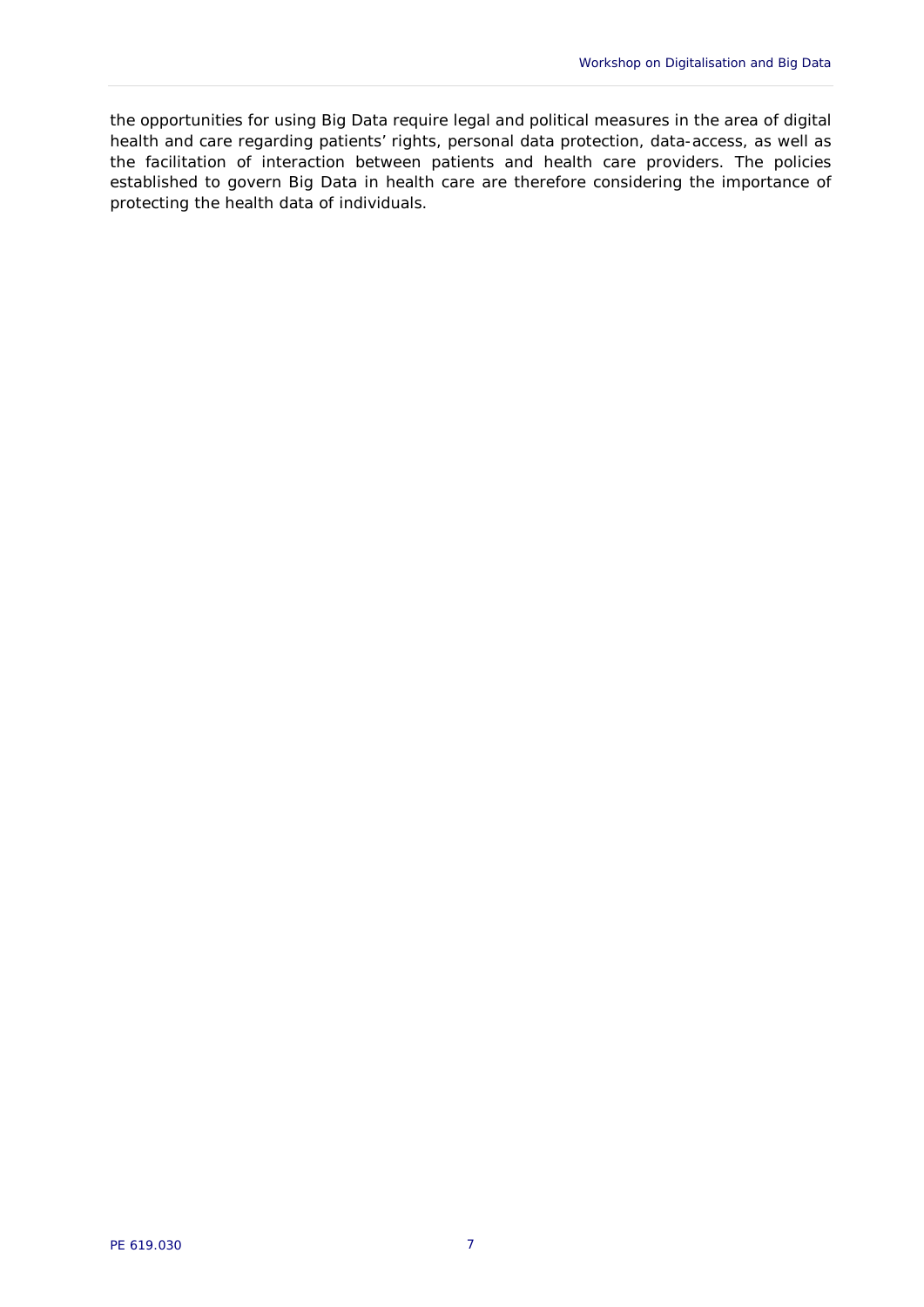the opportunities for using Big Data require legal and political measures in the area of digital health and care regarding patients' rights, personal data protection, data-access, as well as the facilitation of interaction between patients and health care providers. The policies established to govern Big Data in health care are therefore considering the importance of protecting the health data of individuals.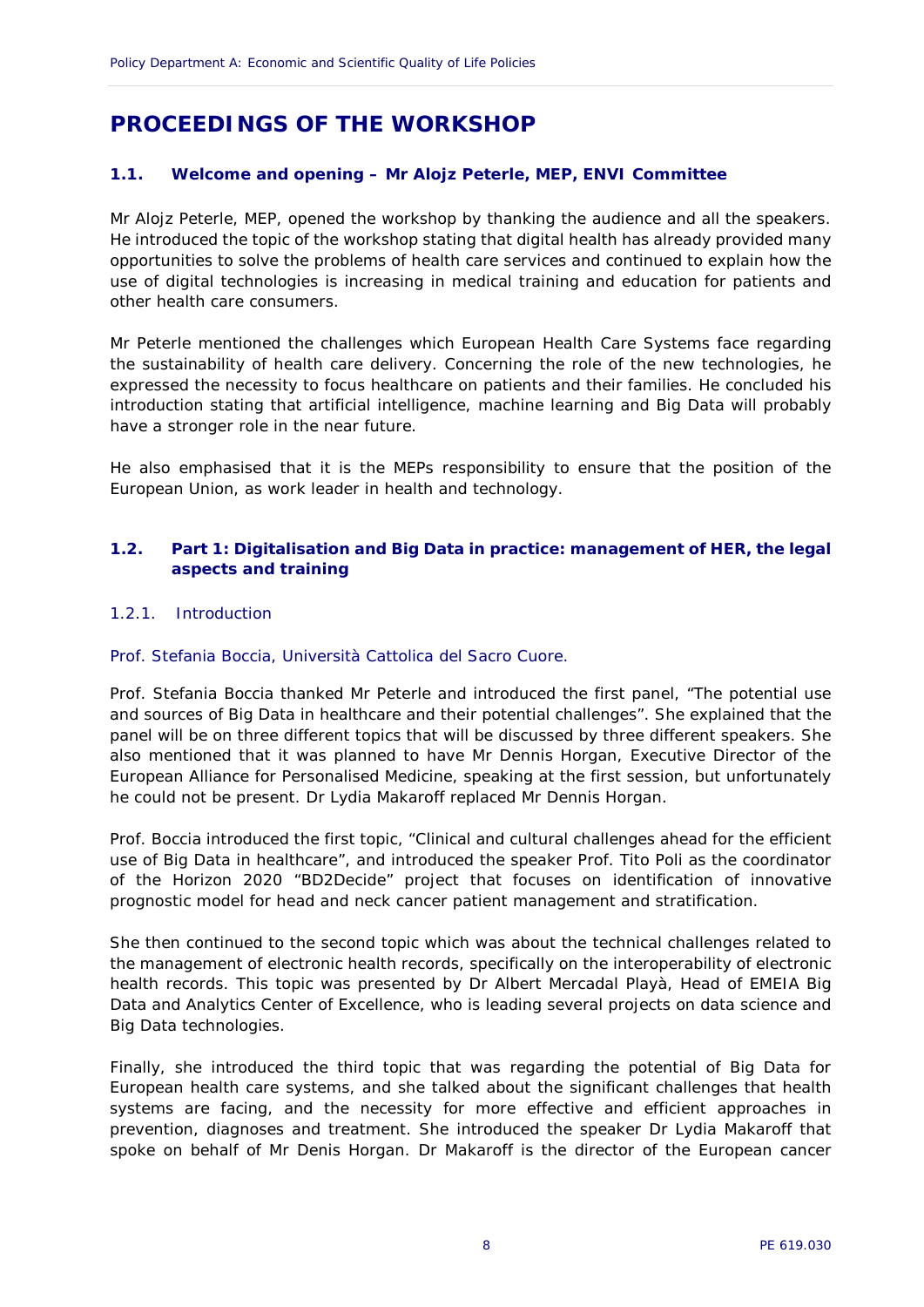## <span id="page-9-0"></span>**PROCEEDINGS OF THE WORKSHOP**

#### <span id="page-9-1"></span>**1.1. Welcome and opening – Mr Alojz Peterle, MEP, ENVI Committee**

Mr Alojz Peterle, MEP, opened the workshop by thanking the audience and all the speakers. He introduced the topic of the workshop stating that digital health has already provided many opportunities to solve the problems of health care services and continued to explain how the use of digital technologies is increasing in medical training and education for patients and other health care consumers.

Mr Peterle mentioned the challenges which European Health Care Systems face regarding the sustainability of health care delivery. Concerning the role of the new technologies, he expressed the necessity to focus healthcare on patients and their families. He concluded his introduction stating that artificial intelligence, machine learning and Big Data will probably have a stronger role in the near future.

He also emphasised that it is the MEPs responsibility to ensure that the position of the European Union, as work leader in health and technology.

#### <span id="page-9-2"></span>**1.2. Part 1: Digitalisation and Big Data in practice: management of HER, the legal aspects and training**

#### <span id="page-9-3"></span>1.2.1. Introduction

#### *Prof. Stefania Boccia, Università Cattolica del Sacro Cuore.*

Prof. Stefania Boccia thanked Mr Peterle and introduced the first panel, "The potential use and sources of Big Data in healthcare and their potential challenges". She explained that the panel will be on three different topics that will be discussed by three different speakers. She also mentioned that it was planned to have Mr Dennis Horgan, Executive Director of the European Alliance for Personalised Medicine, speaking at the first session, but unfortunately he could not be present. Dr Lydia Makaroff replaced Mr Dennis Horgan.

Prof. Boccia introduced the first topic, "Clinical and cultural challenges ahead for the efficient use of Big Data in healthcare", and introduced the speaker Prof. Tito Poli as the coordinator of the Horizon 2020 "BD2Decide" project that focuses on identification of innovative prognostic model for head and neck cancer patient management and stratification.

She then continued to the second topic which was about the technical challenges related to the management of electronic health records, specifically on the interoperability of electronic health records. This topic was presented by Dr Albert Mercadal Playà, Head of EMEIA Big Data and Analytics Center of Excellence, who is leading several projects on data science and Big Data technologies.

Finally, she introduced the third topic that was regarding the potential of Big Data for European health care systems, and she talked about the significant challenges that health systems are facing, and the necessity for more effective and efficient approaches in prevention, diagnoses and treatment. She introduced the speaker Dr Lydia Makaroff that spoke on behalf of Mr Denis Horgan. Dr Makaroff is the director of the European cancer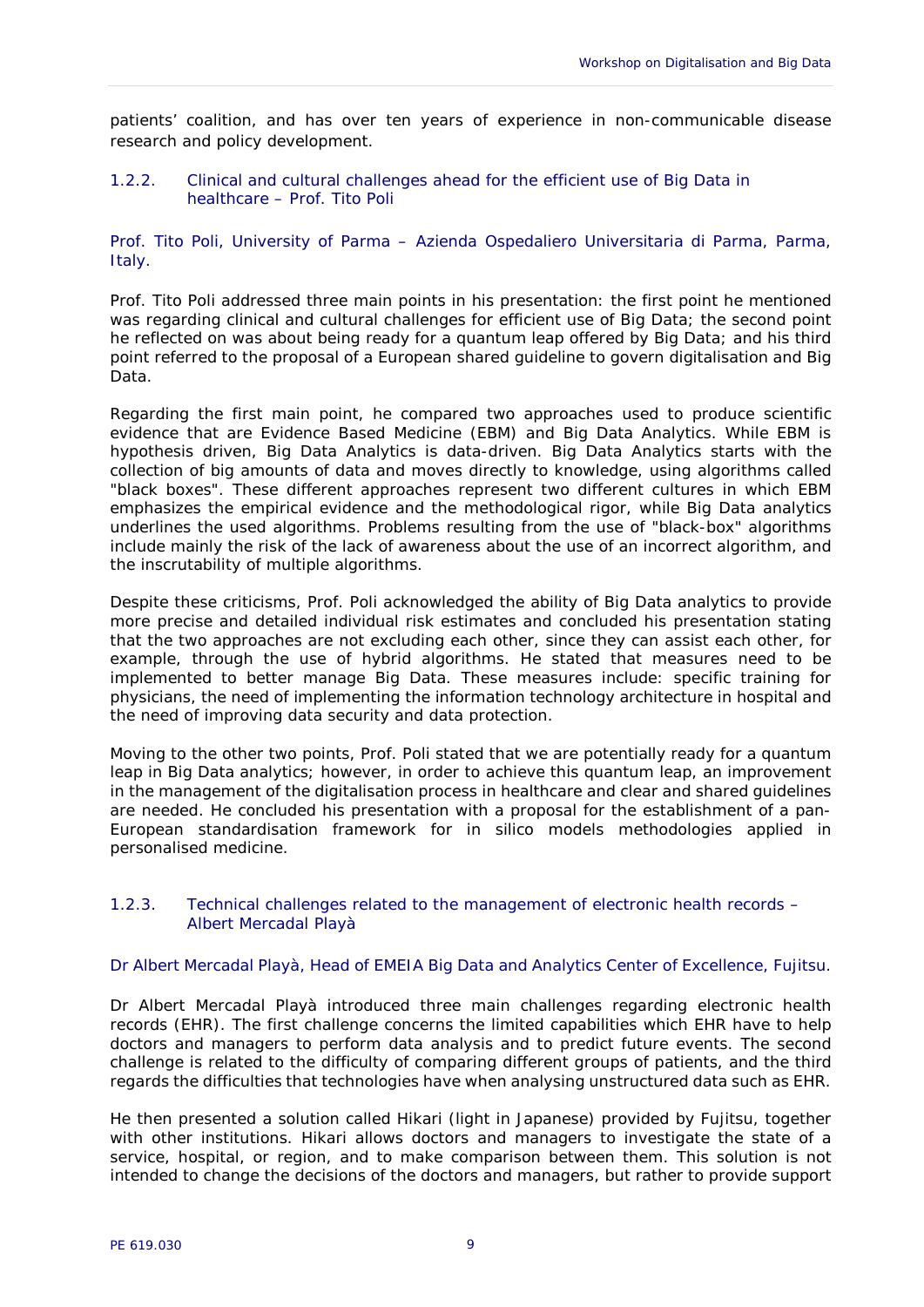patients' coalition, and has over ten years of experience in non-communicable disease research and policy development.

#### <span id="page-10-0"></span>1.2.2. Clinical and cultural challenges ahead for the efficient use of Big Data in healthcare – Prof. Tito Poli

*Prof. Tito Poli, University of Parma – Azienda Ospedaliero Universitaria di Parma, Parma, Italy.*

Prof. Tito Poli addressed three main points in his presentation: the first point he mentioned was regarding clinical and cultural challenges for efficient use of Big Data; the second point he reflected on was about being ready for a quantum leap offered by Big Data; and his third point referred to the proposal of a European shared guideline to govern digitalisation and Big Data.

Regarding the first main point, he compared two approaches used to produce scientific evidence that are Evidence Based Medicine (EBM) and Big Data Analytics. While EBM is hypothesis driven, Big Data Analytics is data-driven. Big Data Analytics starts with the collection of big amounts of data and moves directly to knowledge, using algorithms called "black boxes". These different approaches represent two different cultures in which EBM emphasizes the empirical evidence and the methodological rigor, while Big Data analytics underlines the used algorithms. Problems resulting from the use of "black-box" algorithms include mainly the risk of the lack of awareness about the use of an incorrect algorithm, and the inscrutability of multiple algorithms.

Despite these criticisms, Prof. Poli acknowledged the ability of Big Data analytics to provide more precise and detailed individual risk estimates and concluded his presentation stating that the two approaches are not excluding each other, since they can assist each other, for example, through the use of hybrid algorithms. He stated that measures need to be implemented to better manage Big Data. These measures include: specific training for physicians, the need of implementing the information technology architecture in hospital and the need of improving data security and data protection.

Moving to the other two points, Prof. Poli stated that we are potentially ready for a quantum leap in Big Data analytics; however, in order to achieve this quantum leap, an improvement in the management of the digitalisation process in healthcare and clear and shared guidelines are needed. He concluded his presentation with a proposal for the establishment of a pan-European standardisation framework for in silico models methodologies applied in personalised medicine.

#### <span id="page-10-1"></span>1.2.3. Technical challenges related to the management of electronic health records – Albert Mercadal Playà

#### *Dr Albert Mercadal Playà, Head of EMEIA Big Data and Analytics Center of Excellence, Fujitsu.*

Dr Albert Mercadal Playà introduced three main challenges regarding electronic health records (EHR). The first challenge concerns the limited capabilities which EHR have to help doctors and managers to perform data analysis and to predict future events. The second challenge is related to the difficulty of comparing different groups of patients, and the third regards the difficulties that technologies have when analysing unstructured data such as EHR.

He then presented a solution called Hikari (light in Japanese) provided by Fujitsu, together with other institutions. Hikari allows doctors and managers to investigate the state of a service, hospital, or region, and to make comparison between them. This solution is not intended to change the decisions of the doctors and managers, but rather to provide support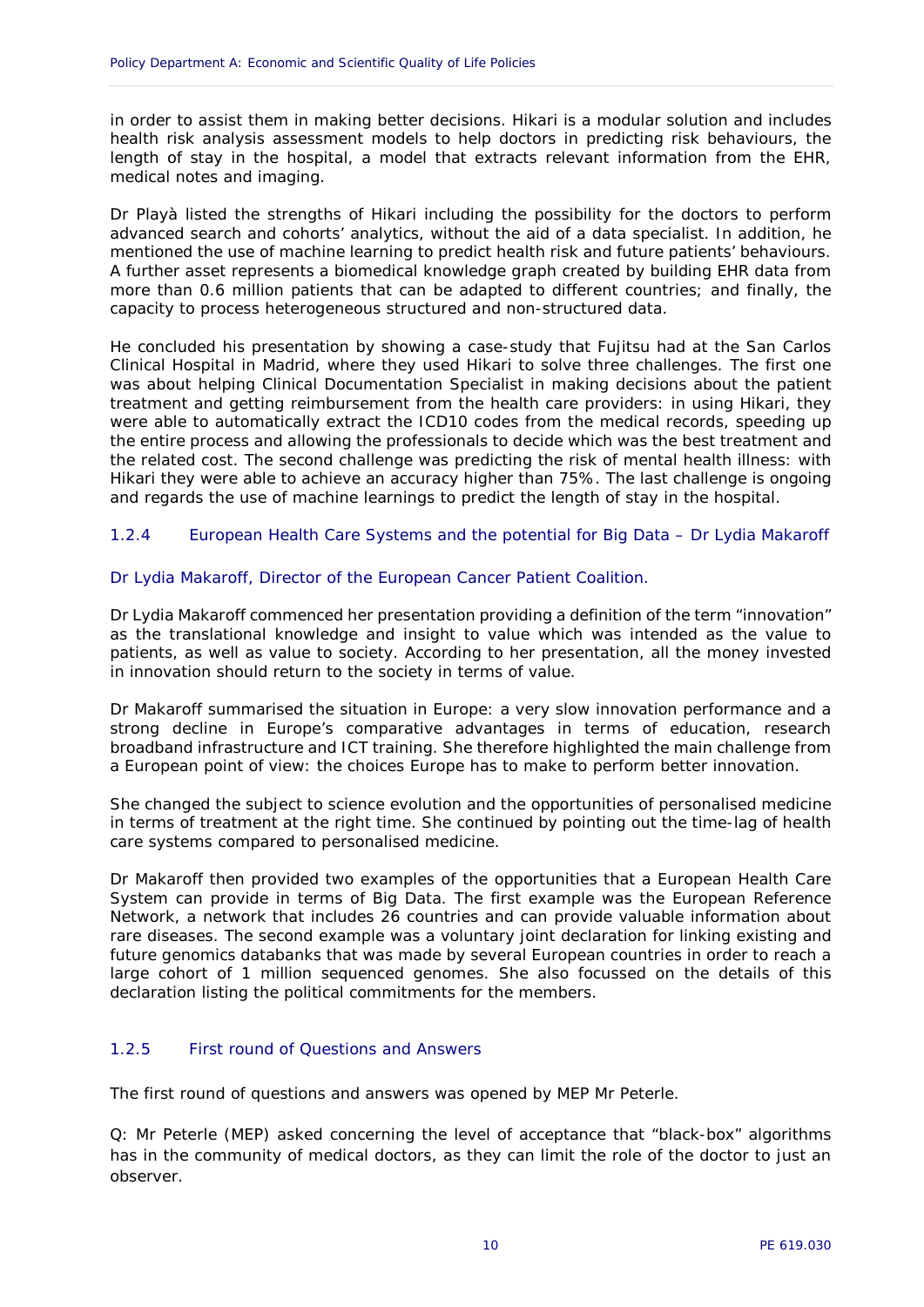in order to assist them in making better decisions. Hikari is a modular solution and includes health risk analysis assessment models to help doctors in predicting risk behaviours, the length of stay in the hospital, a model that extracts relevant information from the EHR, medical notes and imaging.

Dr Playà listed the strengths of Hikari including the possibility for the doctors to perform advanced search and cohorts' analytics, without the aid of a data specialist. In addition, he mentioned the use of machine learning to predict health risk and future patients' behaviours. A further asset represents a biomedical knowledge graph created by building EHR data from more than 0.6 million patients that can be adapted to different countries; and finally, the capacity to process heterogeneous structured and non-structured data.

He concluded his presentation by showing a case-study that Fujitsu had at the San Carlos Clinical Hospital in Madrid, where they used Hikari to solve three challenges. The first one was about helping Clinical Documentation Specialist in making decisions about the patient treatment and getting reimbursement from the health care providers: in using Hikari, they were able to automatically extract the ICD10 codes from the medical records, speeding up the entire process and allowing the professionals to decide which was the best treatment and the related cost. The second challenge was predicting the risk of mental health illness: with Hikari they were able to achieve an accuracy higher than 75%. The last challenge is ongoing and regards the use of machine learnings to predict the length of stay in the hospital.

#### <span id="page-11-0"></span>1.2.4 European Health Care Systems and the potential for Big Data – Dr Lydia Makaroff

#### *Dr Lydia Makaroff, Director of the European Cancer Patient Coalition.*

Dr Lydia Makaroff commenced her presentation providing a definition of the term "innovation" as the translational knowledge and insight to value which was intended as the value to patients, as well as value to society. According to her presentation, all the money invested in innovation should return to the society in terms of value.

Dr Makaroff summarised the situation in Europe: a very slow innovation performance and a strong decline in Europe's comparative advantages in terms of education, research broadband infrastructure and ICT training. She therefore highlighted the main challenge from a European point of view: the choices Europe has to make to perform better innovation.

She changed the subject to science evolution and the opportunities of personalised medicine in terms of treatment at the right time. She continued by pointing out the time-lag of health care systems compared to personalised medicine.

Dr Makaroff then provided two examples of the opportunities that a European Health Care System can provide in terms of Big Data. The first example was the European Reference Network, a network that includes 26 countries and can provide valuable information about rare diseases. The second example was a voluntary joint declaration for linking existing and future genomics databanks that was made by several European countries in order to reach a large cohort of 1 million sequenced genomes. She also focussed on the details of this declaration listing the political commitments for the members.

#### <span id="page-11-1"></span>1.2.5 First round of Questions and Answers

The first round of questions and answers was opened by MEP Mr Peterle.

Q: Mr Peterle (MEP) asked concerning the level of acceptance that "black-box" algorithms has in the community of medical doctors, as they can limit the role of the doctor to just an observer.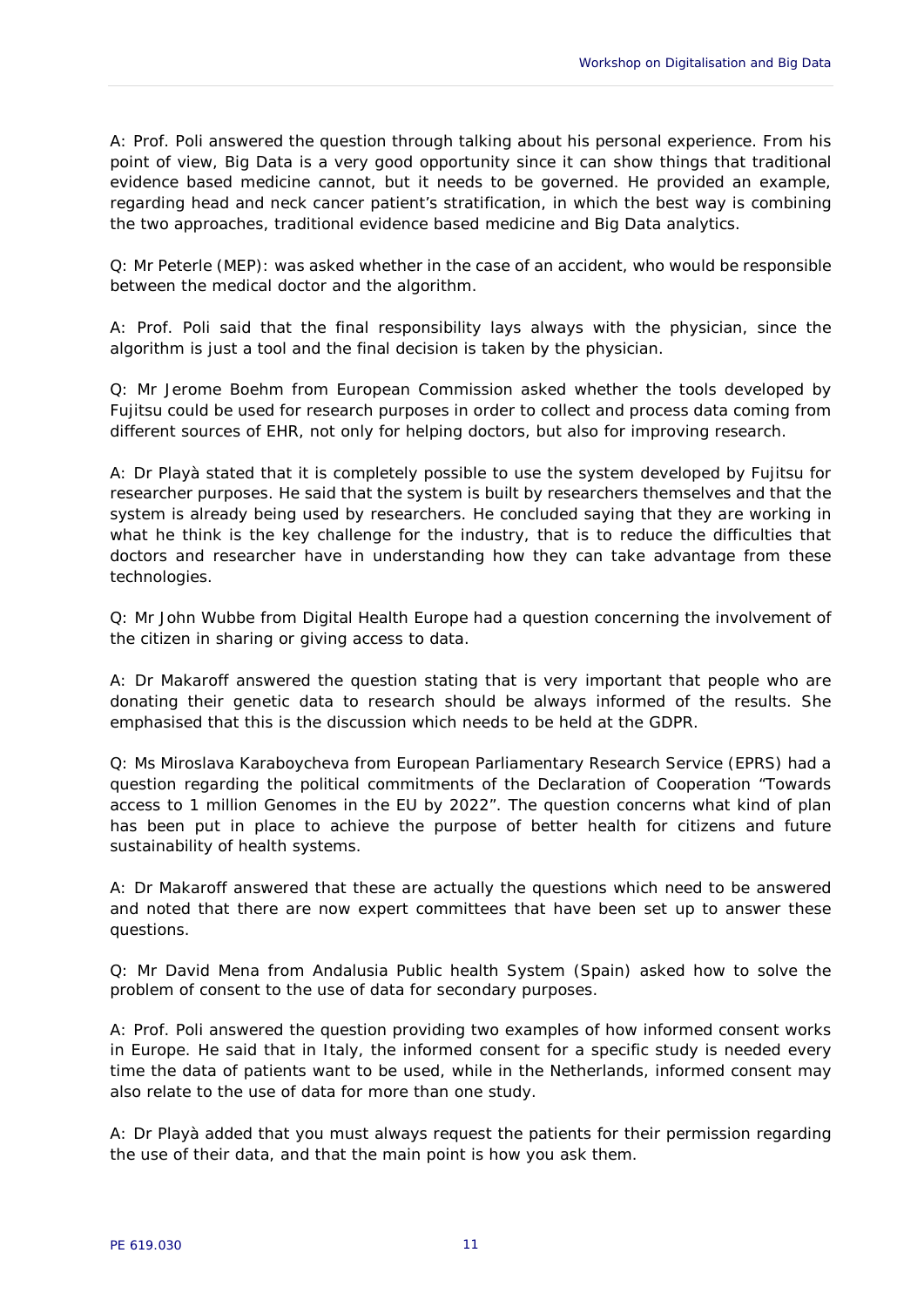A: Prof. Poli answered the question through talking about his personal experience. From his point of view, Big Data is a very good opportunity since it can show things that traditional evidence based medicine cannot, but it needs to be governed. He provided an example, regarding head and neck cancer patient's stratification, in which the best way is combining the two approaches, traditional evidence based medicine and Big Data analytics.

Q: Mr Peterle (MEP): was asked whether in the case of an accident, who would be responsible between the medical doctor and the algorithm.

A: Prof. Poli said that the final responsibility lays always with the physician, since the algorithm is just a tool and the final decision is taken by the physician.

Q: Mr Jerome Boehm from European Commission asked whether the tools developed by Fujitsu could be used for research purposes in order to collect and process data coming from different sources of EHR, not only for helping doctors, but also for improving research.

A: Dr Playà stated that it is completely possible to use the system developed by Fujitsu for researcher purposes. He said that the system is built by researchers themselves and that the system is already being used by researchers. He concluded saying that they are working in what he think is the key challenge for the industry, that is to reduce the difficulties that doctors and researcher have in understanding how they can take advantage from these technologies.

Q: Mr John Wubbe from Digital Health Europe had a question concerning the involvement of the citizen in sharing or giving access to data.

A: Dr Makaroff answered the question stating that is very important that people who are donating their genetic data to research should be always informed of the results. She emphasised that this is the discussion which needs to be held at the GDPR.

Q: Ms Miroslava Karaboycheva from European Parliamentary Research Service (EPRS) had a question regarding the political commitments of the Declaration of Cooperation "Towards access to 1 million Genomes in the EU by 2022". The question concerns what kind of plan has been put in place to achieve the purpose of better health for citizens and future sustainability of health systems.

A: Dr Makaroff answered that these are actually the questions which need to be answered and noted that there are now expert committees that have been set up to answer these questions.

Q: Mr David Mena from Andalusia Public health System (Spain) asked how to solve the problem of consent to the use of data for secondary purposes.

A: Prof. Poli answered the question providing two examples of how informed consent works in Europe. He said that in Italy, the informed consent for a specific study is needed every time the data of patients want to be used, while in the Netherlands, informed consent may also relate to the use of data for more than one study.

A: Dr Playà added that you must always request the patients for their permission regarding the use of their data, and that the main point is how you ask them.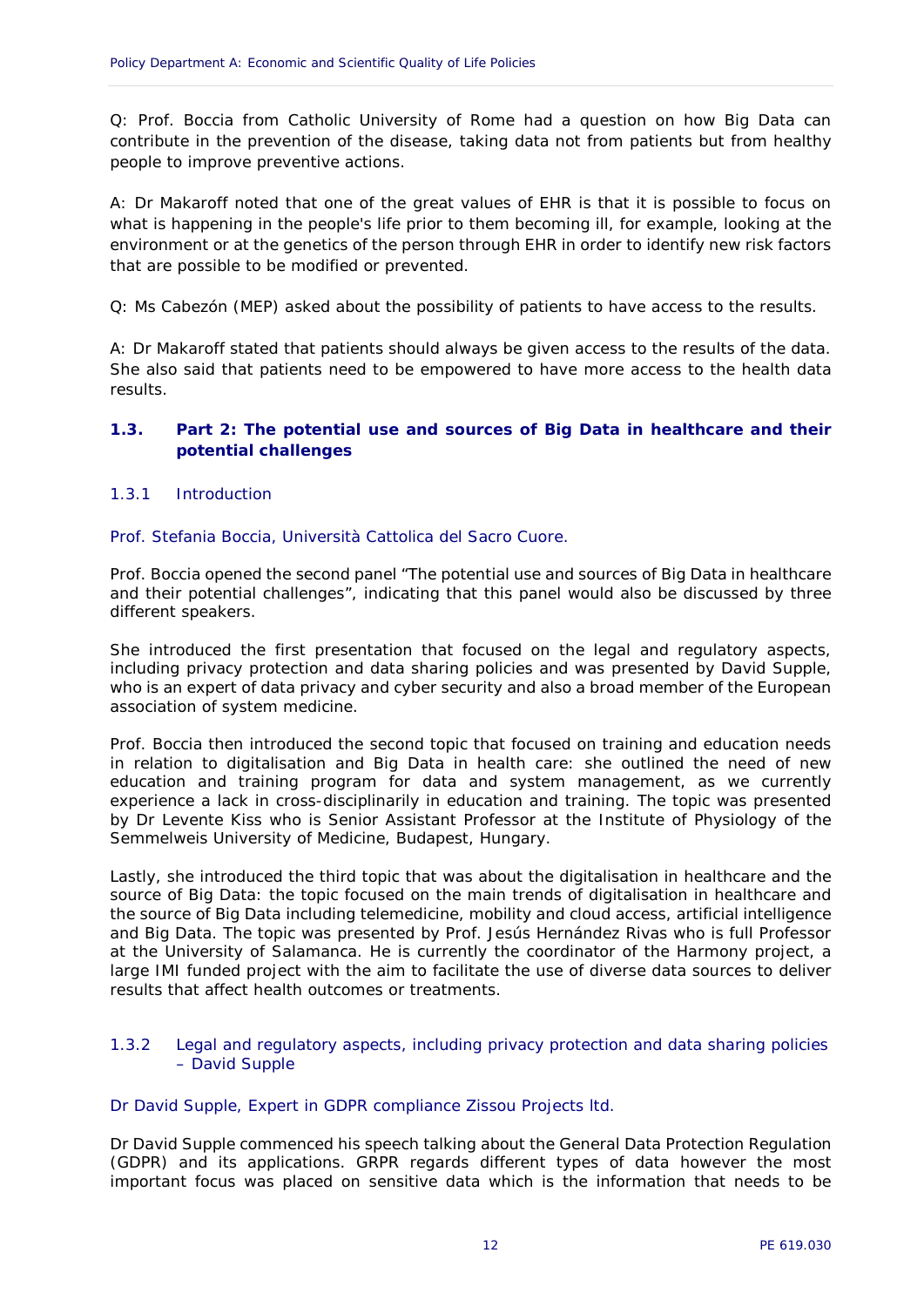Q: Prof. Boccia from Catholic University of Rome had a question on how Big Data can contribute in the prevention of the disease, taking data not from patients but from healthy people to improve preventive actions.

A: Dr Makaroff noted that one of the great values of EHR is that it is possible to focus on what is happening in the people's life prior to them becoming ill, for example, looking at the environment or at the genetics of the person through EHR in order to identify new risk factors that are possible to be modified or prevented.

Q: Ms Cabezón (MEP) asked about the possibility of patients to have access to the results.

A: Dr Makaroff stated that patients should always be given access to the results of the data. She also said that patients need to be empowered to have more access to the health data results.

#### <span id="page-13-0"></span>**1.3. Part 2: The potential use and sources of Big Data in healthcare and their potential challenges**

#### <span id="page-13-1"></span>1.3.1 Introduction

#### *Prof. Stefania Boccia, Università Cattolica del Sacro Cuore.*

Prof. Boccia opened the second panel "The potential use and sources of Big Data in healthcare and their potential challenges", indicating that this panel would also be discussed by three different speakers.

She introduced the first presentation that focused on the legal and regulatory aspects, including privacy protection and data sharing policies and was presented by David Supple, who is an expert of data privacy and cyber security and also a broad member of the European association of system medicine.

Prof. Boccia then introduced the second topic that focused on training and education needs in relation to digitalisation and Big Data in health care: she outlined the need of new education and training program for data and system management, as we currently experience a lack in cross-disciplinarily in education and training. The topic was presented by Dr Levente Kiss who is Senior Assistant Professor at the Institute of Physiology of the Semmelweis University of Medicine, Budapest, Hungary.

Lastly, she introduced the third topic that was about the digitalisation in healthcare and the source of Big Data: the topic focused on the main trends of digitalisation in healthcare and the source of Big Data including telemedicine, mobility and cloud access, artificial intelligence and Big Data. The topic was presented by Prof. Jesús Hernández Rivas who is full Professor at the University of Salamanca. He is currently the coordinator of the Harmony project, a large IMI funded project with the aim to facilitate the use of diverse data sources to deliver results that affect health outcomes or treatments.

#### <span id="page-13-2"></span>1.3.2 Legal and regulatory aspects, including privacy protection and data sharing policies – David Supple

#### *Dr David Supple, Expert in GDPR compliance Zissou Projects ltd.*

Dr David Supple commenced his speech talking about the General Data Protection Regulation (GDPR) and its applications. GRPR regards different types of data however the most important focus was placed on sensitive data which is the information that needs to be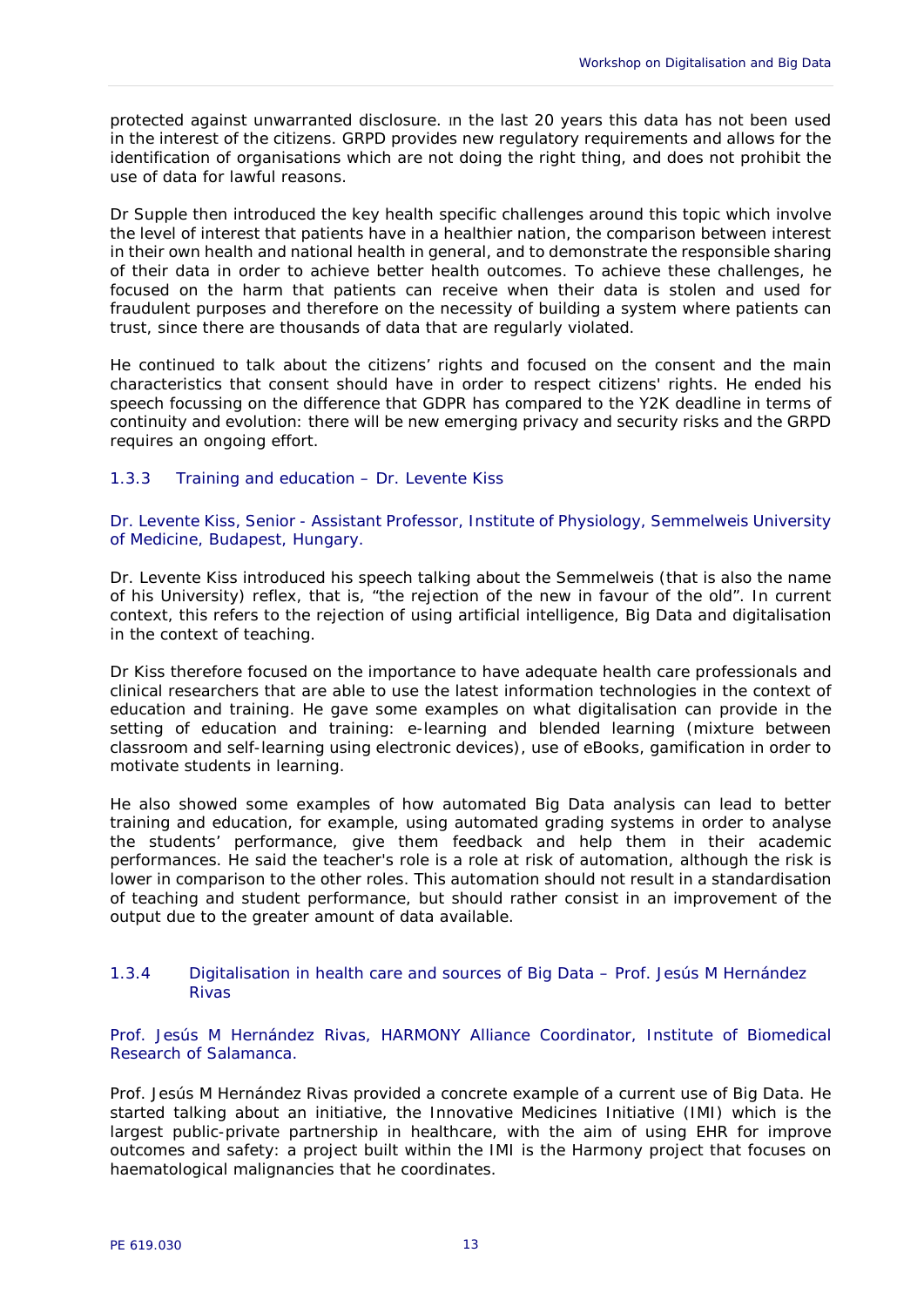protected against unwarranted disclosure. In the last 20 years this data has not been used in the interest of the citizens. GRPD provides new regulatory requirements and allows for the identification of organisations which are not doing the right thing, and does not prohibit the use of data for lawful reasons.

Dr Supple then introduced the key health specific challenges around this topic which involve the level of interest that patients have in a healthier nation, the comparison between interest in their own health and national health in general, and to demonstrate the responsible sharing of their data in order to achieve better health outcomes. To achieve these challenges, he focused on the harm that patients can receive when their data is stolen and used for fraudulent purposes and therefore on the necessity of building a system where patients can trust, since there are thousands of data that are regularly violated.

He continued to talk about the citizens' rights and focused on the consent and the main characteristics that consent should have in order to respect citizens' rights. He ended his speech focussing on the difference that GDPR has compared to the Y2K deadline in terms of continuity and evolution: there will be new emerging privacy and security risks and the GRPD requires an ongoing effort.

#### <span id="page-14-0"></span>1.3.3 Training and education – Dr. Levente Kiss

#### *Dr. Levente Kiss, Senior - Assistant Professor, Institute of Physiology, Semmelweis University of Medicine, Budapest, Hungary.*

Dr. Levente Kiss introduced his speech talking about the Semmelweis (that is also the name of his University) reflex, that is, "the rejection of the new in favour of the old". In current context, this refers to the rejection of using artificial intelligence, Big Data and digitalisation in the context of teaching.

Dr Kiss therefore focused on the importance to have adequate health care professionals and clinical researchers that are able to use the latest information technologies in the context of education and training. He gave some examples on what digitalisation can provide in the setting of education and training: e-learning and blended learning (mixture between classroom and self-learning using electronic devices), use of eBooks, gamification in order to motivate students in learning.

He also showed some examples of how automated Big Data analysis can lead to better training and education, for example, using automated grading systems in order to analyse the students' performance, give them feedback and help them in their academic performances. He said the teacher's role is a role at risk of automation, although the risk is lower in comparison to the other roles. This automation should not result in a standardisation of teaching and student performance, but should rather consist in an improvement of the output due to the greater amount of data available.

#### <span id="page-14-1"></span>1.3.4 Digitalisation in health care and sources of Big Data – Prof. Jesús M Hernández Rivas

*Prof. Jesús M Hernández Rivas, HARMONY Alliance Coordinator, Institute of Biomedical Research of Salamanca.* 

Prof. Jesús M Hernández Rivas provided a concrete example of a current use of Big Data. He started talking about an initiative, the Innovative Medicines Initiative (IMI) which is the largest public-private partnership in healthcare, with the aim of using EHR for improve outcomes and safety: a project built within the IMI is the Harmony project that focuses on haematological malignancies that he coordinates.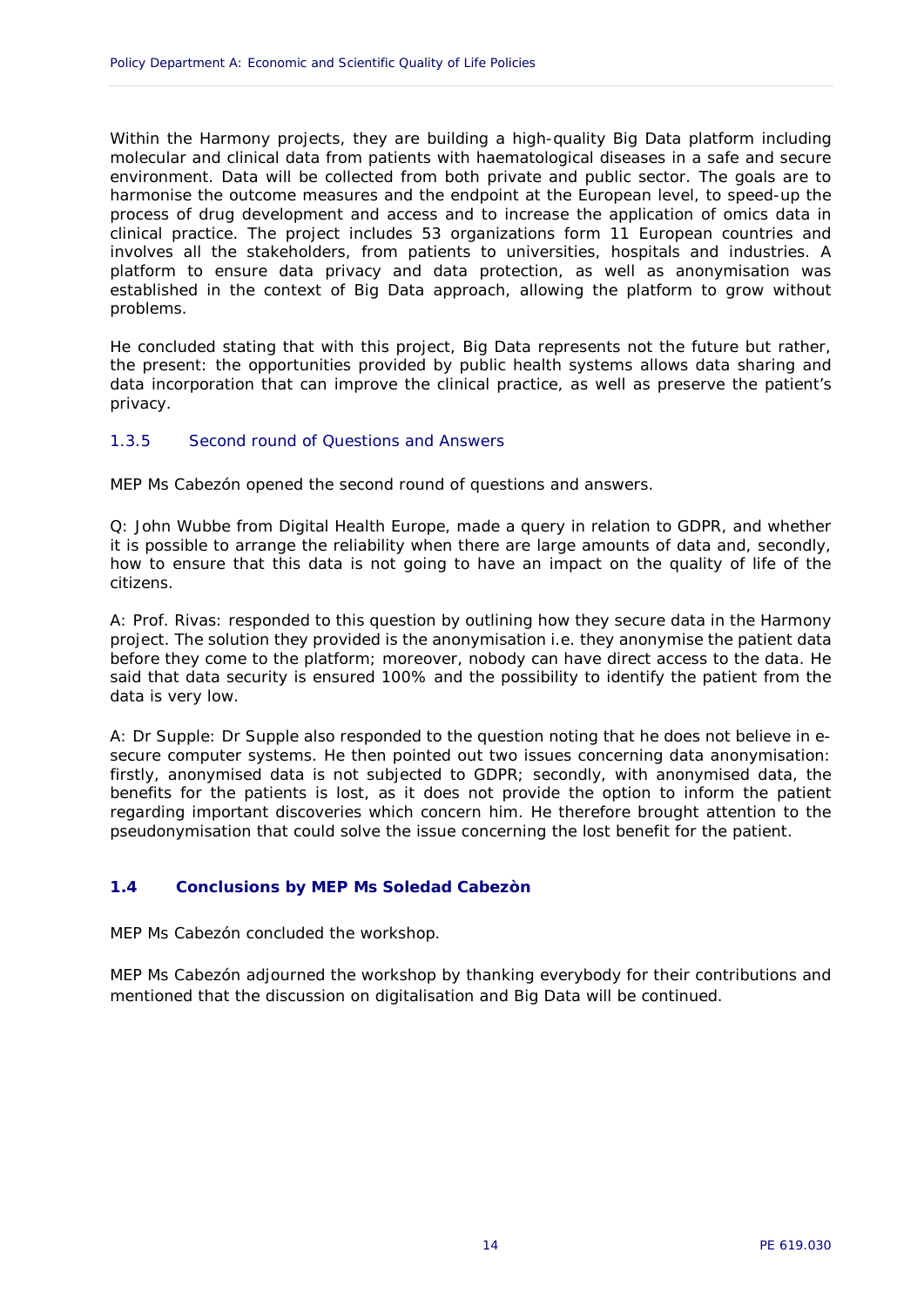Within the Harmony projects, they are building a high-quality Big Data platform including molecular and clinical data from patients with haematological diseases in a safe and secure environment. Data will be collected from both private and public sector. The goals are to harmonise the outcome measures and the endpoint at the European level, to speed-up the process of drug development and access and to increase the application of omics data in clinical practice. The project includes 53 organizations form 11 European countries and involves all the stakeholders, from patients to universities, hospitals and industries. A platform to ensure data privacy and data protection, as well as anonymisation was established in the context of Big Data approach, allowing the platform to grow without problems.

He concluded stating that with this project, Big Data represents not the future but rather, the present: the opportunities provided by public health systems allows data sharing and data incorporation that can improve the clinical practice, as well as preserve the patient's privacy.

#### <span id="page-15-0"></span>1.3.5 Second round of Questions and Answers

MEP Ms Cabezón opened the second round of questions and answers.

Q: John Wubbe from Digital Health Europe, made a query in relation to GDPR, and whether it is possible to arrange the reliability when there are large amounts of data and, secondly, how to ensure that this data is not going to have an impact on the quality of life of the citizens.

A: Prof. Rivas: responded to this question by outlining how they secure data in the Harmony project. The solution they provided is the anonymisation i.e. they anonymise the patient data before they come to the platform; moreover, nobody can have direct access to the data. He said that data security is ensured 100% and the possibility to identify the patient from the data is very low.

A: Dr Supple: Dr Supple also responded to the question noting that he does not believe in esecure computer systems. He then pointed out two issues concerning data anonymisation: firstly, anonymised data is not subjected to GDPR; secondly, with anonymised data, the benefits for the patients is lost, as it does not provide the option to inform the patient regarding important discoveries which concern him. He therefore brought attention to the pseudonymisation that could solve the issue concerning the lost benefit for the patient.

#### <span id="page-15-1"></span>**1.4 Conclusions by MEP Ms Soledad Cabezòn**

MEP Ms Cabezón concluded the workshop.

MEP Ms Cabezón adjourned the workshop by thanking everybody for their contributions and mentioned that the discussion on digitalisation and Big Data will be continued.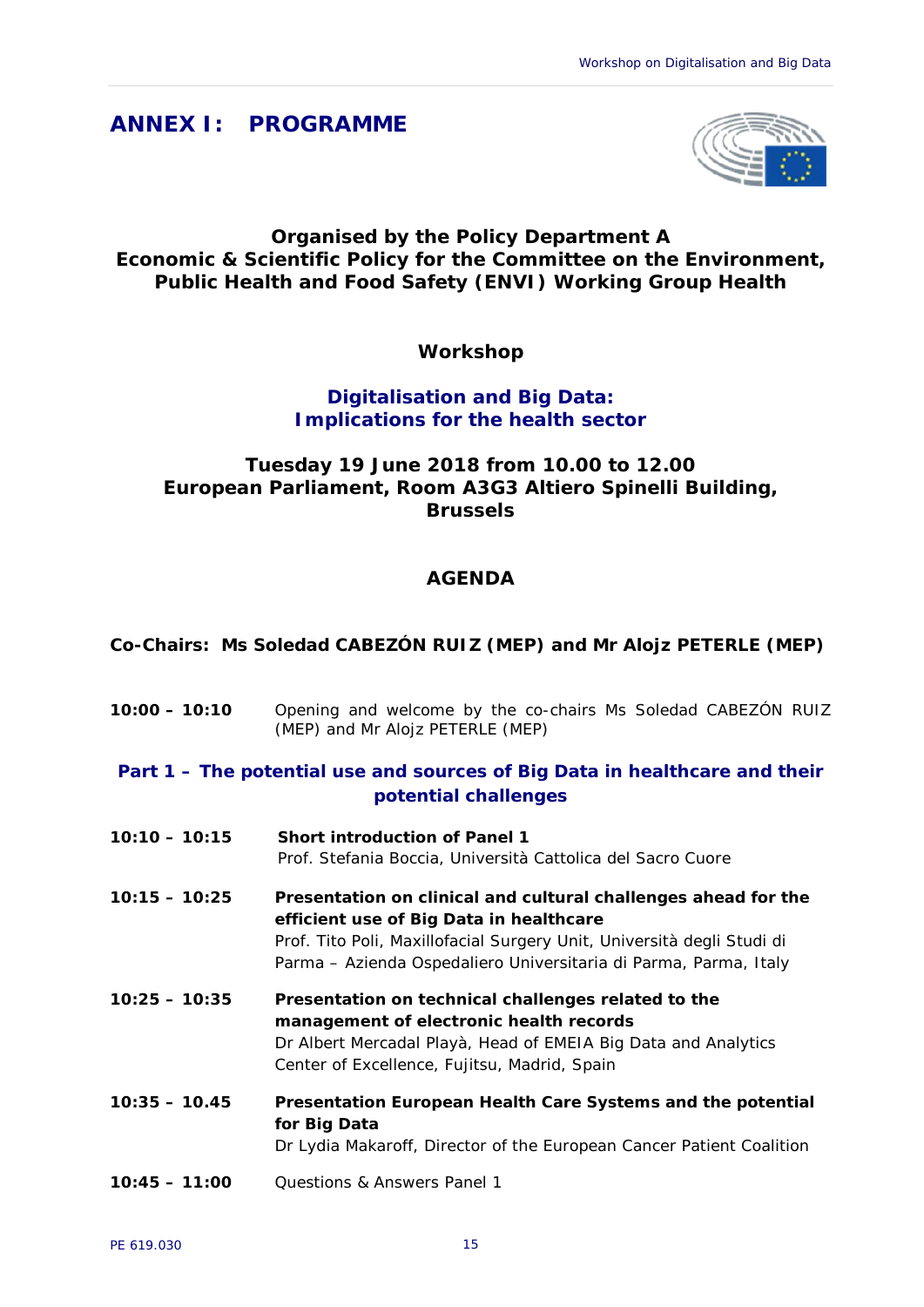## <span id="page-16-0"></span>**ANNEX I: PROGRAMME**



#### **Organised by the Policy Department A Economic & Scientific Policy for the Committee on the Environment, Public Health and Food Safety (ENVI) Working Group Health**

**Workshop**

#### **Digitalisation and Big Data: Implications for the health sector**

## **Tuesday 19 June 2018 from 10.00 to 12.00 European Parliament, Room A3G3 Altiero Spinelli Building, Brussels**

## **AGENDA**

#### **Co-Chairs: Ms Soledad CABEZÓN RUIZ (MEP) and Mr Alojz PETERLE (MEP)**

- **10:00 – 10:10** Opening and welcome by the co-chairs Ms Soledad CABEZÓN RUIZ (MEP) and Mr Alojz PETERLE (MEP)
- *Part 1 – The potential use and sources of Big Data in healthcare and their potential challenges*
- **10:10 – 10:15 Short introduction of Panel 1** Prof. Stefania Boccia, Università Cattolica del Sacro Cuore
- **10:15 – 10:25 Presentation on clinical and cultural challenges ahead for the efficient use of Big Data in healthcare**  Prof. Tito Poli, Maxillofacial Surgery Unit, Università degli Studi di Parma – Azienda Ospedaliero Universitaria di Parma, Parma, Italy
- **10:25 – 10:35 Presentation on technical challenges related to the management of electronic health records** Dr Albert Mercadal Playà, Head of EMEIA Big Data and Analytics Center of Excellence, Fujitsu, Madrid, Spain
- **10:35 – 10.45 Presentation European Health Care Systems and the potential for Big Data** Dr Lydia Makaroff, Director of the European Cancer Patient Coalition
- **10:45 – 11:00** Questions & Answers Panel 1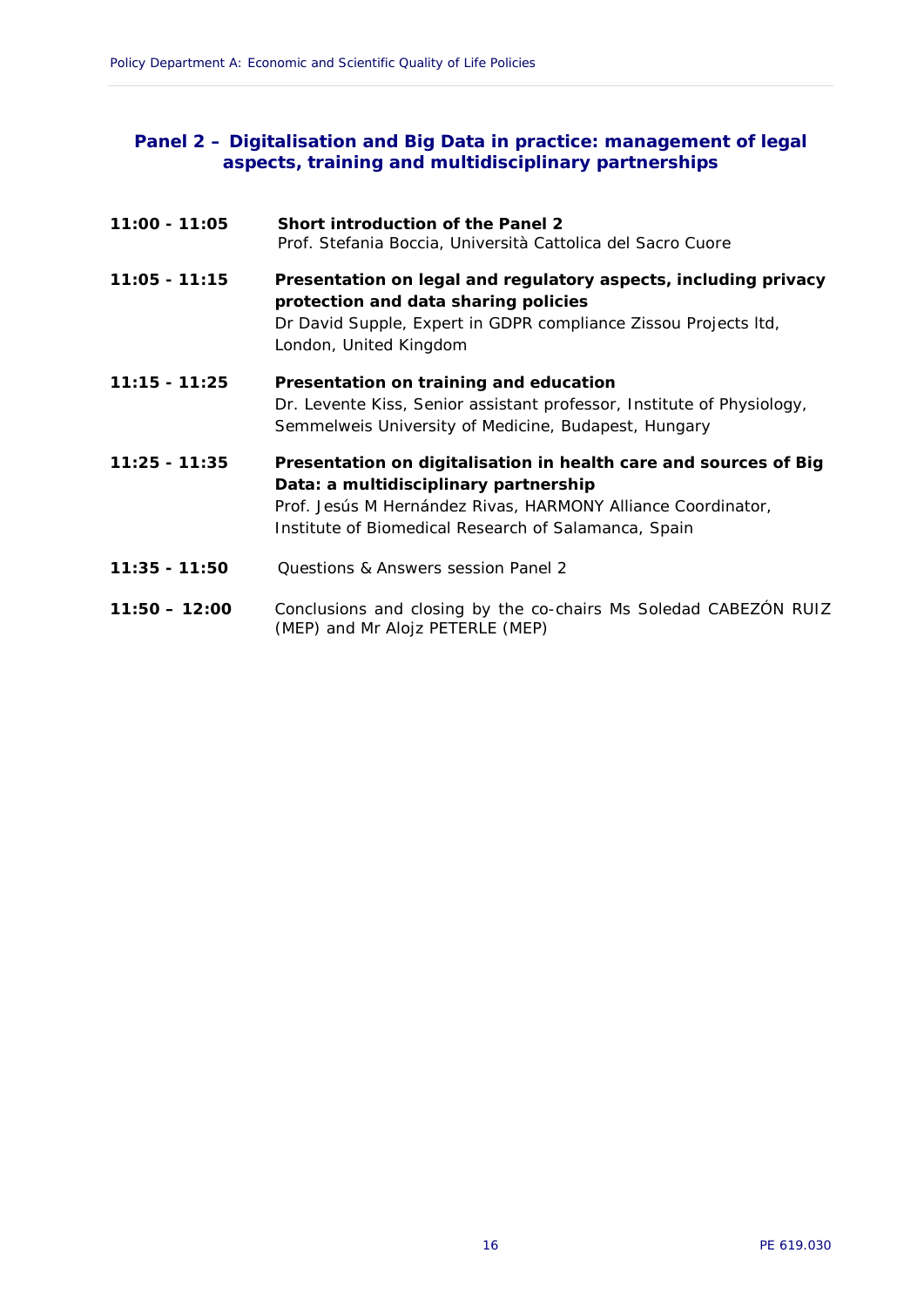#### *Panel 2 – Digitalisation and Big Data in practice: management of legal aspects, training and multidisciplinary partnerships*

| 11:00 - 11:05   | Short introduction of the Panel 2<br>Prof. Stefania Boccia, Università Cattolica del Sacro Cuore                                                                                                                                  |
|-----------------|-----------------------------------------------------------------------------------------------------------------------------------------------------------------------------------------------------------------------------------|
| $11:05 - 11:15$ | Presentation on legal and regulatory aspects, including privacy<br>protection and data sharing policies<br>Dr David Supple, Expert in GDPR compliance Zissou Projects Itd,<br>London, United Kingdom                              |
| $11:15 - 11:25$ | Presentation on training and education<br>Dr. Levente Kiss, Senior assistant professor, Institute of Physiology,<br>Semmelweis University of Medicine, Budapest, Hungary                                                          |
| $11:25 - 11:35$ | Presentation on digitalisation in health care and sources of Big<br>Data: a multidisciplinary partnership<br>Prof. Jesús M Hernández Rivas, HARMONY Alliance Coordinator,<br>Institute of Biomedical Research of Salamanca, Spain |
| $11:35 - 11:50$ | Questions & Answers session Panel 2                                                                                                                                                                                               |
| $11:50 - 12:00$ | Conclusions and closing by the co-chairs Ms Soledad CABEZÓN RUIZ<br>(MEP) and Mr Alojz PETERLE (MEP)                                                                                                                              |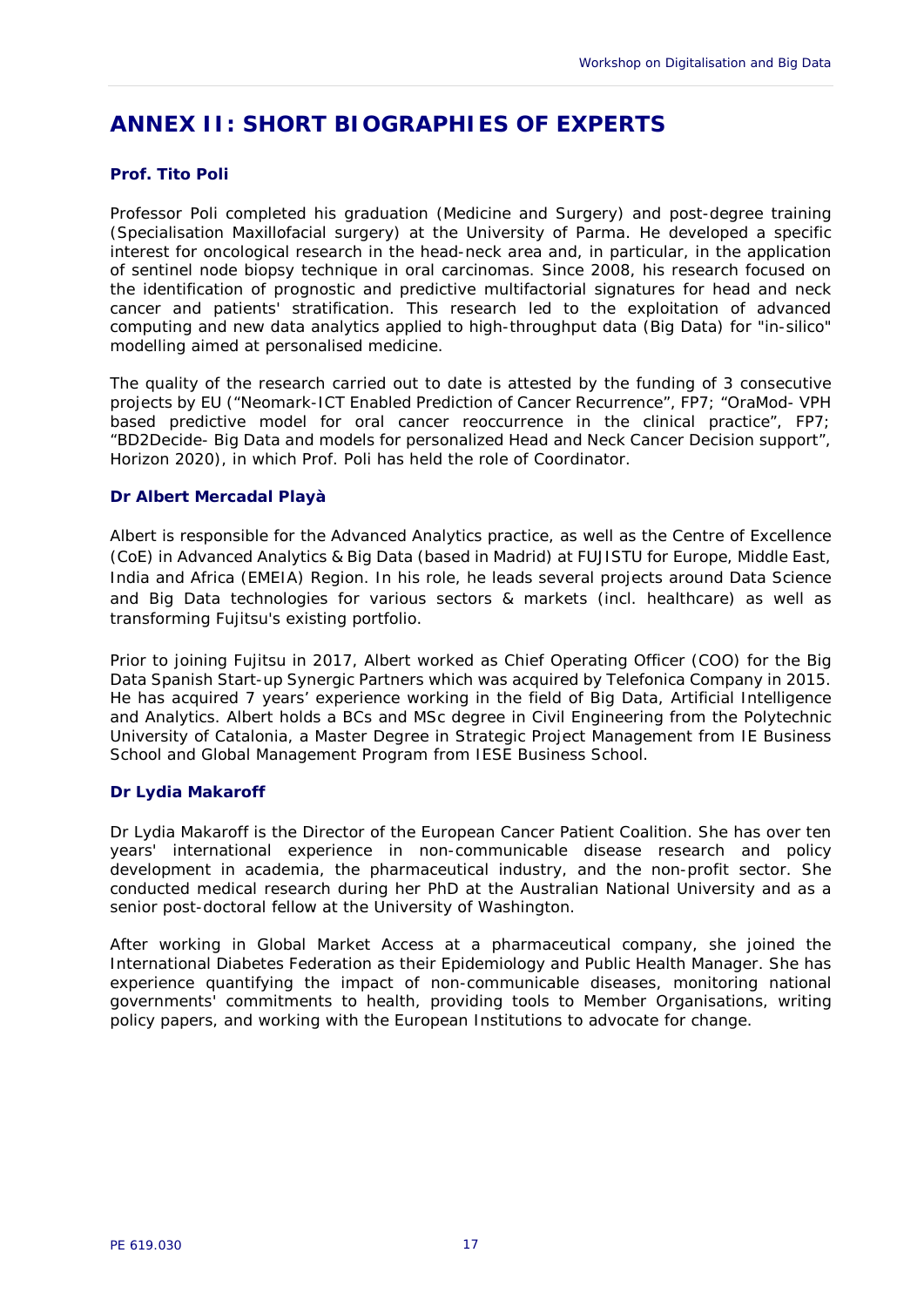## <span id="page-18-0"></span>**ANNEX II: SHORT BIOGRAPHIES OF EXPERTS**

#### **Prof. Tito Poli**

Professor Poli completed his graduation (Medicine and Surgery) and post-degree training (Specialisation Maxillofacial surgery) at the University of Parma. He developed a specific interest for oncological research in the head-neck area and, in particular, in the application of sentinel node biopsy technique in oral carcinomas. Since 2008, his research focused on the identification of prognostic and predictive multifactorial signatures for head and neck cancer and patients' stratification. This research led to the exploitation of advanced computing and new data analytics applied to high-throughput data (Big Data) for "in-silico" modelling aimed at personalised medicine.

The quality of the research carried out to date is attested by the funding of 3 consecutive projects by EU ("Neomark-ICT Enabled Prediction of Cancer Recurrence", FP7; "OraMod- VPH based predictive model for oral cancer reoccurrence in the clinical practice", FP7; "BD2Decide- Big Data and models for personalized Head and Neck Cancer Decision support", Horizon 2020), in which Prof. Poli has held the role of Coordinator.

#### **Dr Albert Mercadal Playà**

Albert is responsible for the Advanced Analytics practice, as well as the Centre of Excellence (CoE) in Advanced Analytics & Big Data (based in Madrid) at FUJISTU for Europe, Middle East, India and Africa (EMEIA) Region. In his role, he leads several projects around Data Science and Big Data technologies for various sectors & markets (incl. healthcare) as well as transforming Fujitsu's existing portfolio.

Prior to joining Fujitsu in 2017, Albert worked as Chief Operating Officer (COO) for the Big Data Spanish Start-up Synergic Partners which was acquired by Telefonica Company in 2015. He has acquired 7 years' experience working in the field of Big Data, Artificial Intelligence and Analytics. Albert holds a BCs and MSc degree in Civil Engineering from the Polytechnic University of Catalonia, a Master Degree in Strategic Project Management from IE Business School and Global Management Program from IESE Business School.

#### **Dr Lydia Makaroff**

Dr Lydia Makaroff is the Director of the European Cancer Patient Coalition. She has over ten years' international experience in non-communicable disease research and policy development in academia, the pharmaceutical industry, and the non-profit sector. She conducted medical research during her PhD at the Australian National University and as a senior post-doctoral fellow at the University of Washington.

After working in Global Market Access at a pharmaceutical company, she joined the International Diabetes Federation as their Epidemiology and Public Health Manager. She has experience quantifying the impact of non-communicable diseases, monitoring national governments' commitments to health, providing tools to Member Organisations, writing policy papers, and working with the European Institutions to advocate for change.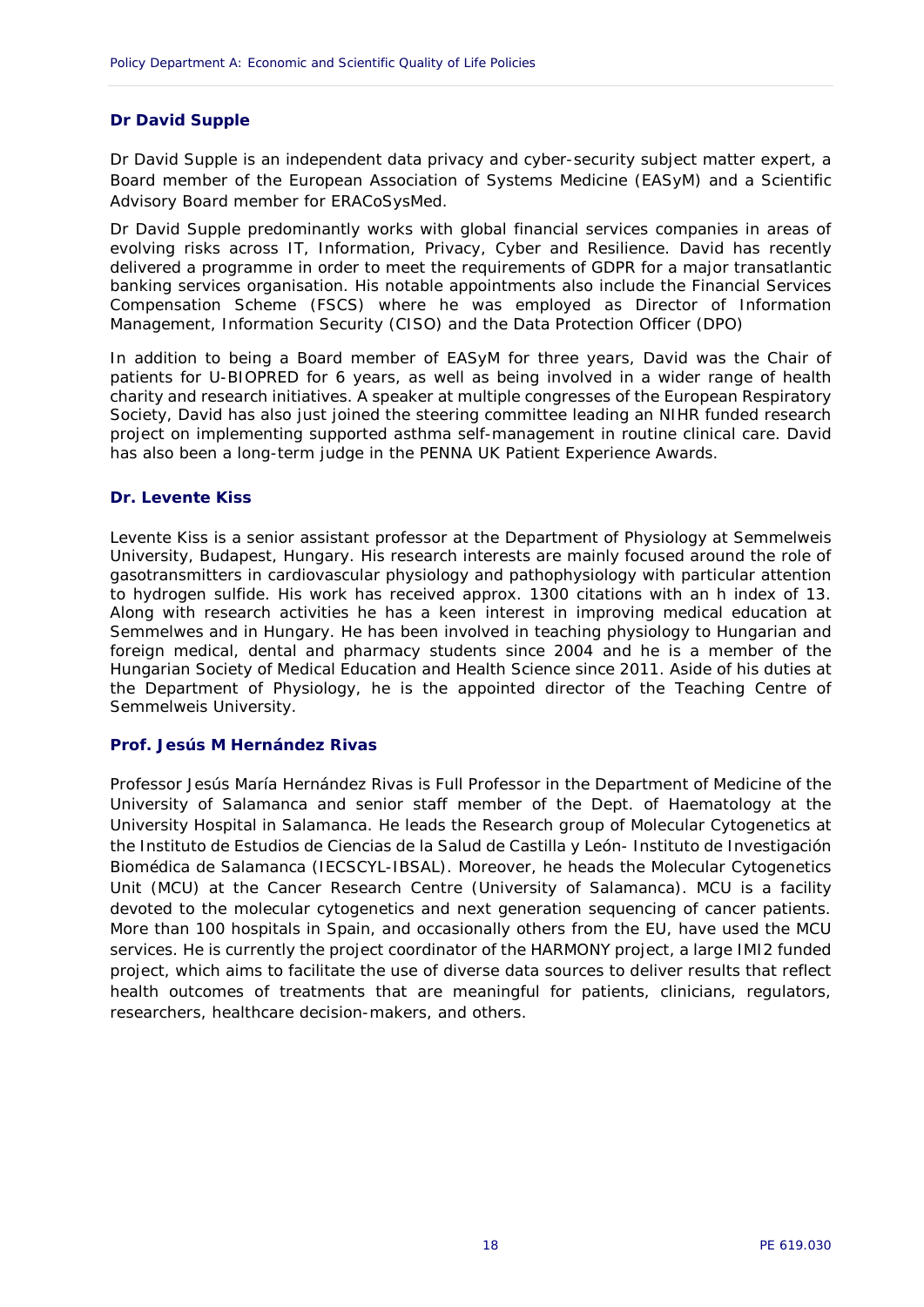#### **Dr David Supple**

Dr David Supple is an independent data privacy and cyber-security subject matter expert, a Board member of the European Association of Systems Medicine (EASyM) and a Scientific Advisory Board member for ERACoSysMed.

Dr David Supple predominantly works with global financial services companies in areas of evolving risks across IT, Information, Privacy, Cyber and Resilience. David has recently delivered a programme in order to meet the requirements of GDPR for a major transatlantic banking services organisation. His notable appointments also include the Financial Services Compensation Scheme (FSCS) where he was employed as Director of Information Management, Information Security (CISO) and the Data Protection Officer (DPO)

In addition to being a Board member of EASyM for three years, David was the Chair of patients for U-BIOPRED for 6 years, as well as being involved in a wider range of health charity and research initiatives. A speaker at multiple congresses of the European Respiratory Society, David has also just joined the steering committee leading an NIHR funded research project on implementing supported asthma self-management in routine clinical care. David has also been a long-term judge in the PENNA UK Patient Experience Awards.

#### **Dr. Levente Kiss**

Levente Kiss is a senior assistant professor at the Department of Physiology at Semmelweis University, Budapest, Hungary. His research interests are mainly focused around the role of gasotransmitters in cardiovascular physiology and pathophysiology with particular attention to hydrogen sulfide. His work has received approx. 1300 citations with an h index of 13. Along with research activities he has a keen interest in improving medical education at Semmelwes and in Hungary. He has been involved in teaching physiology to Hungarian and foreign medical, dental and pharmacy students since 2004 and he is a member of the Hungarian Society of Medical Education and Health Science since 2011. Aside of his duties at the Department of Physiology, he is the appointed director of the Teaching Centre of Semmelweis University.

#### **Prof. Jesús M Hernández Rivas**

Professor Jesús María Hernández Rivas is Full Professor in the Department of Medicine of the University of Salamanca and senior staff member of the Dept. of Haematology at the University Hospital in Salamanca. He leads the Research group of Molecular Cytogenetics at the Instituto de Estudios de Ciencias de la Salud de Castilla y León- Instituto de Investigación Biomédica de Salamanca (IECSCYL-IBSAL). Moreover, he heads the Molecular Cytogenetics Unit (MCU) at the Cancer Research Centre (University of Salamanca). MCU is a facility devoted to the molecular cytogenetics and next generation sequencing of cancer patients. More than 100 hospitals in Spain, and occasionally others from the EU, have used the MCU services. He is currently the project coordinator of the HARMONY project, a large IMI2 funded project, which aims to facilitate the use of diverse data sources to deliver results that reflect health outcomes of treatments that are meaningful for patients, clinicians, regulators, researchers, healthcare decision-makers, and others.